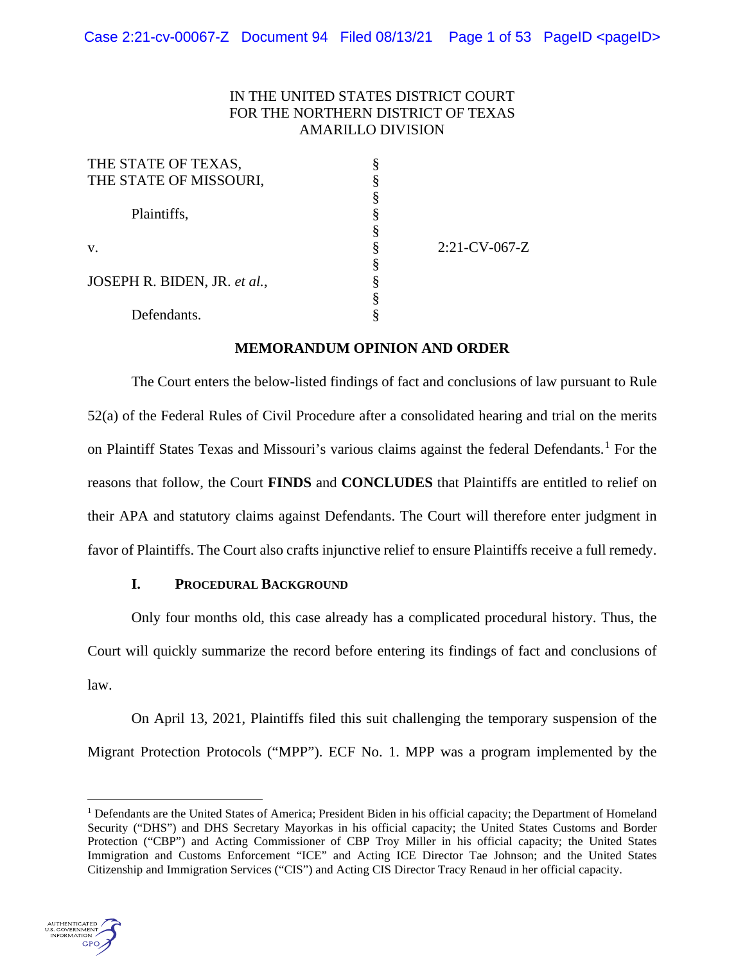## IN THE UNITED STATES DISTRICT COURT FOR THE NORTHERN DISTRICT OF TEXAS AMARILLO DIVISION

| THE STATE OF TEXAS,          |                  |
|------------------------------|------------------|
| THE STATE OF MISSOURI,       |                  |
|                              |                  |
| Plaintiffs,                  |                  |
|                              |                  |
| V.                           | $2:21$ -CV-067-Z |
|                              |                  |
| JOSEPH R. BIDEN, JR. et al., |                  |
|                              |                  |
| Defendants.                  |                  |

## **MEMORANDUM OPINION AND ORDER**

The Court enters the below-listed findings of fact and conclusions of law pursuant to Rule 52(a) of the Federal Rules of Civil Procedure after a consolidated hearing and trial on the merits on Plaintiff States Texas and Missouri's various claims against the federal Defendants.<sup>[1](#page-0-0)</sup> For the reasons that follow, the Court **FINDS** and **CONCLUDES** that Plaintiffs are entitled to relief on their APA and statutory claims against Defendants. The Court will therefore enter judgment in favor of Plaintiffs. The Court also crafts injunctive relief to ensure Plaintiffs receive a full remedy.

## **I. PROCEDURAL BACKGROUND**

Only four months old, this case already has a complicated procedural history. Thus, the Court will quickly summarize the record before entering its findings of fact and conclusions of law.

On April 13, 2021, Plaintiffs filed this suit challenging the temporary suspension of the Migrant Protection Protocols ("MPP"). ECF No. 1. MPP was a program implemented by the

<span id="page-0-0"></span><sup>&</sup>lt;sup>1</sup> Defendants are the United States of America; President Biden in his official capacity; the Department of Homeland Security ("DHS") and DHS Secretary Mayorkas in his official capacity; the United States Customs and Border Protection ("CBP") and Acting Commissioner of CBP Troy Miller in his official capacity; the United States Immigration and Customs Enforcement "ICE" and Acting ICE Director Tae Johnson; and the United States Citizenship and Immigration Services ("CIS") and Acting CIS Director Tracy Renaud in her official capacity.

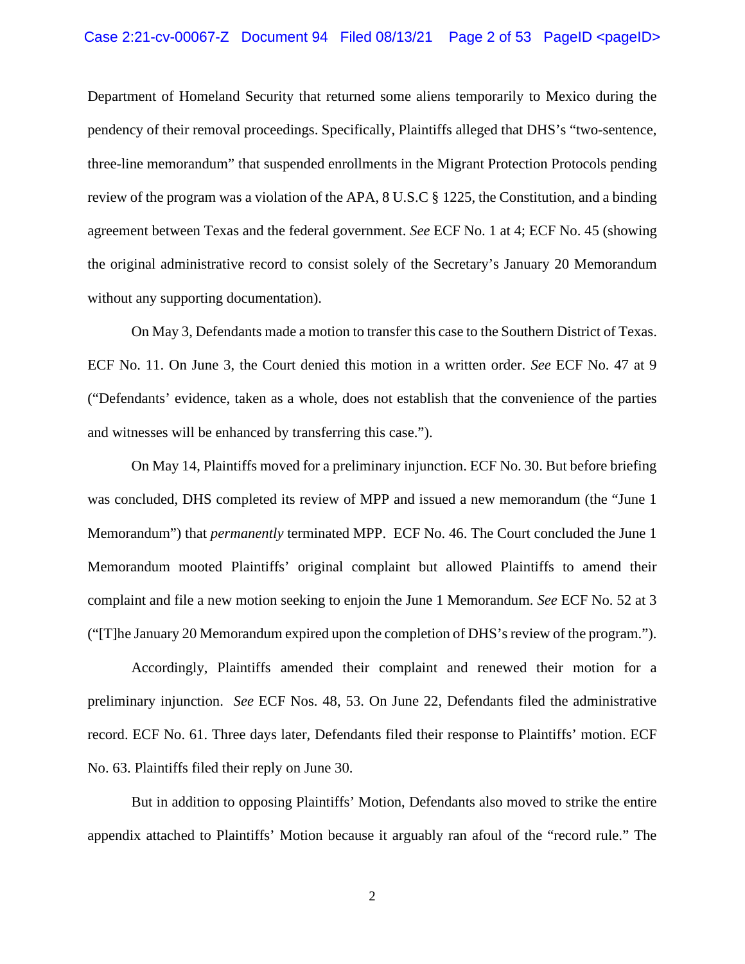### Case  $2:21$ -cv-00067-Z Document 94 Filed 08/13/21 Page 2 of 53 PageID <pageID>

Department of Homeland Security that returned some aliens temporarily to Mexico during the pendency of their removal proceedings. Specifically, Plaintiffs alleged that DHS's "two-sentence, three-line memorandum" that suspended enrollments in the Migrant Protection Protocols pending review of the program was a violation of the APA, 8 U.S.C § 1225, the Constitution, and a binding agreement between Texas and the federal government. *See* ECF No. 1 at 4; ECF No. 45 (showing the original administrative record to consist solely of the Secretary's January 20 Memorandum without any supporting documentation).

On May 3, Defendants made a motion to transfer this case to the Southern District of Texas. ECF No. 11. On June 3, the Court denied this motion in a written order. *See* ECF No. 47 at 9 ("Defendants' evidence, taken as a whole, does not establish that the convenience of the parties and witnesses will be enhanced by transferring this case.").

On May 14, Plaintiffs moved for a preliminary injunction. ECF No. 30. But before briefing was concluded, DHS completed its review of MPP and issued a new memorandum (the "June 1 Memorandum") that *permanently* terminated MPP. ECF No. 46. The Court concluded the June 1 Memorandum mooted Plaintiffs' original complaint but allowed Plaintiffs to amend their complaint and file a new motion seeking to enjoin the June 1 Memorandum. *See* ECF No. 52 at 3 ("[T]he January 20 Memorandum expired upon the completion of DHS's review of the program.").

Accordingly, Plaintiffs amended their complaint and renewed their motion for a preliminary injunction. *See* ECF Nos. 48, 53. On June 22, Defendants filed the administrative record. ECF No. 61. Three days later, Defendants filed their response to Plaintiffs' motion. ECF No. 63. Plaintiffs filed their reply on June 30.

But in addition to opposing Plaintiffs' Motion, Defendants also moved to strike the entire appendix attached to Plaintiffs' Motion because it arguably ran afoul of the "record rule." The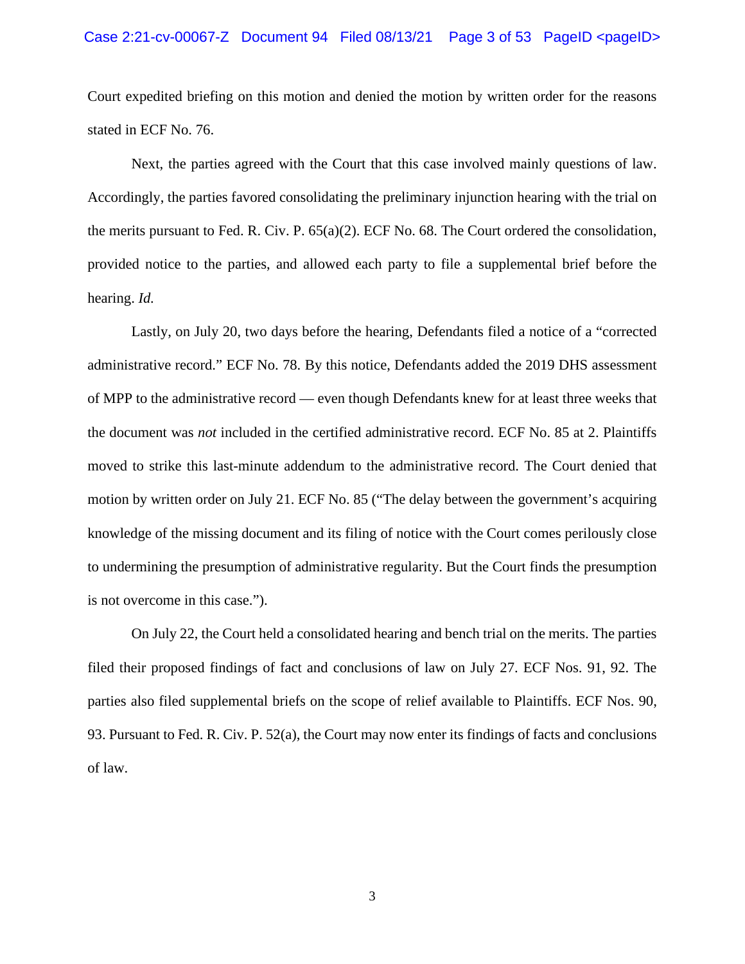### Case  $2:21$ -cv-00067-Z Document 94 Filed 08/13/21 Page 3 of 53 PageID <pageID>

Court expedited briefing on this motion and denied the motion by written order for the reasons stated in ECF No. 76.

Next, the parties agreed with the Court that this case involved mainly questions of law. Accordingly, the parties favored consolidating the preliminary injunction hearing with the trial on the merits pursuant to Fed. R. Civ. P. 65(a)(2). ECF No. 68. The Court ordered the consolidation, provided notice to the parties, and allowed each party to file a supplemental brief before the hearing. *Id.* 

Lastly, on July 20, two days before the hearing, Defendants filed a notice of a "corrected administrative record." ECF No. 78. By this notice, Defendants added the 2019 DHS assessment of MPP to the administrative record — even though Defendants knew for at least three weeks that the document was *not* included in the certified administrative record. ECF No. 85 at 2. Plaintiffs moved to strike this last-minute addendum to the administrative record. The Court denied that motion by written order on July 21. ECF No. 85 ("The delay between the government's acquiring knowledge of the missing document and its filing of notice with the Court comes perilously close to undermining the presumption of administrative regularity. But the Court finds the presumption is not overcome in this case.").

On July 22, the Court held a consolidated hearing and bench trial on the merits. The parties filed their proposed findings of fact and conclusions of law on July 27. ECF Nos. 91, 92. The parties also filed supplemental briefs on the scope of relief available to Plaintiffs. ECF Nos. 90, 93. Pursuant to Fed. R. Civ. P. 52(a), the Court may now enter its findings of facts and conclusions of law.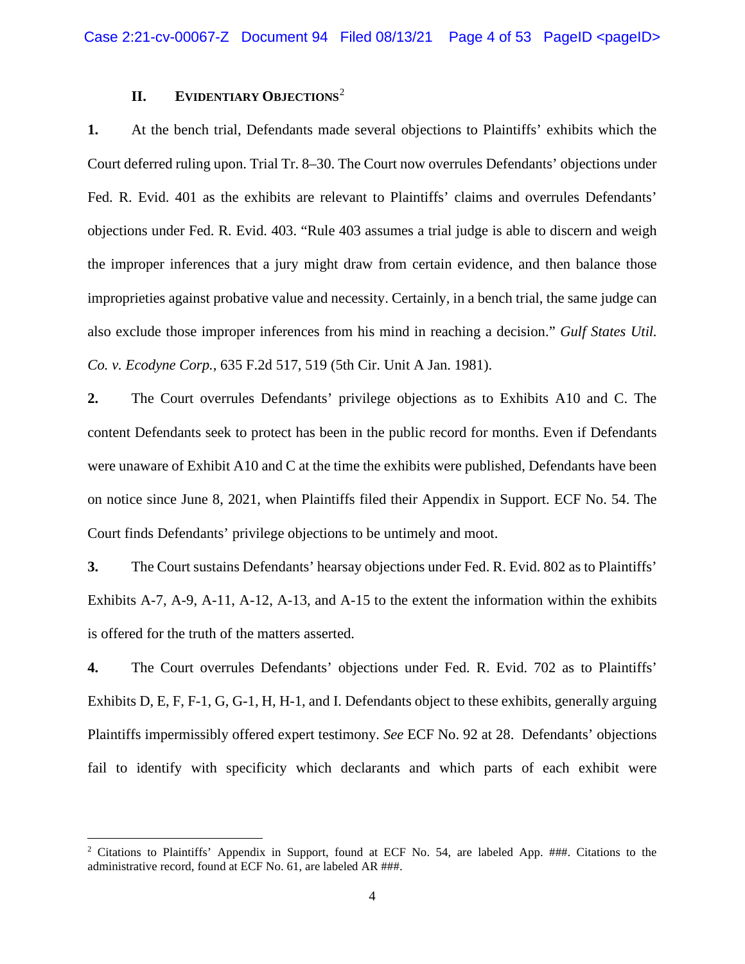## **II. EVIDENTIARY OBJECTIONS**[2](#page-3-0)

**1.** At the bench trial, Defendants made several objections to Plaintiffs' exhibits which the Court deferred ruling upon. Trial Tr. 8–30. The Court now overrules Defendants' objections under Fed. R. Evid. 401 as the exhibits are relevant to Plaintiffs' claims and overrules Defendants' objections under Fed. R. Evid. 403. "Rule 403 assumes a trial judge is able to discern and weigh the improper inferences that a jury might draw from certain evidence, and then balance those improprieties against probative value and necessity. Certainly, in a bench trial, the same judge can also exclude those improper inferences from his mind in reaching a decision." *Gulf States Util. Co. v. Ecodyne Corp.*, 635 F.2d 517, 519 (5th Cir. Unit A Jan. 1981).

**2.** The Court overrules Defendants' privilege objections as to Exhibits A10 and C. The content Defendants seek to protect has been in the public record for months. Even if Defendants were unaware of Exhibit A10 and C at the time the exhibits were published, Defendants have been on notice since June 8, 2021, when Plaintiffs filed their Appendix in Support. ECF No. 54. The Court finds Defendants' privilege objections to be untimely and moot.

**3.** The Court sustains Defendants' hearsay objections under Fed. R. Evid. 802 as to Plaintiffs' Exhibits A-7, A-9, A-11, A-12, A-13, and A-15 to the extent the information within the exhibits is offered for the truth of the matters asserted.

**4.** The Court overrules Defendants' objections under Fed. R. Evid. 702 as to Plaintiffs' Exhibits D, E, F, F-1, G, G-1, H, H-1, and I. Defendants object to these exhibits, generally arguing Plaintiffs impermissibly offered expert testimony. *See* ECF No. 92 at 28. Defendants' objections fail to identify with specificity which declarants and which parts of each exhibit were

<span id="page-3-0"></span><sup>&</sup>lt;sup>2</sup> Citations to Plaintiffs' Appendix in Support, found at ECF No. 54, are labeled App. ###. Citations to the administrative record, found at ECF No. 61, are labeled AR ###.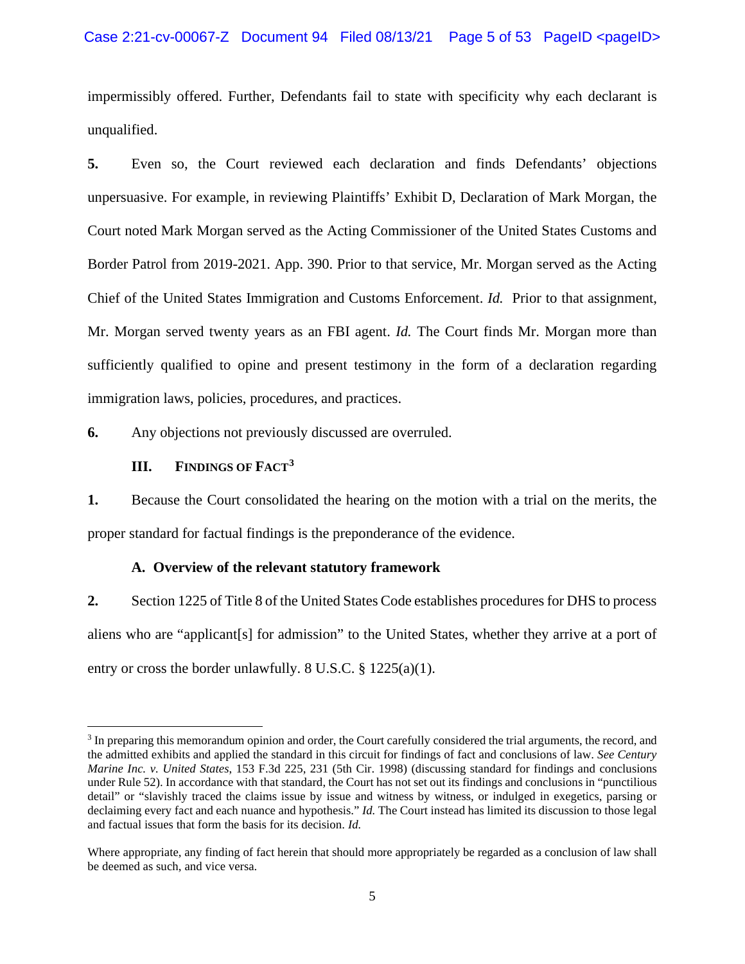## Case  $2:21$ -cv-00067-Z Document 94 Filed 08/13/21 Page 5 of 53 PageID <pageID>

impermissibly offered. Further, Defendants fail to state with specificity why each declarant is unqualified.

**5.** Even so, the Court reviewed each declaration and finds Defendants' objections unpersuasive. For example, in reviewing Plaintiffs' Exhibit D, Declaration of Mark Morgan, the Court noted Mark Morgan served as the Acting Commissioner of the United States Customs and Border Patrol from 2019-2021. App. 390. Prior to that service, Mr. Morgan served as the Acting Chief of the United States Immigration and Customs Enforcement. *Id.* Prior to that assignment, Mr. Morgan served twenty years as an FBI agent. *Id.* The Court finds Mr. Morgan more than sufficiently qualified to opine and present testimony in the form of a declaration regarding immigration laws, policies, procedures, and practices.

**6.** Any objections not previously discussed are overruled.

## **III. FINDINGS OF FACT[3](#page-4-0)**

**1.** Because the Court consolidated the hearing on the motion with a trial on the merits, the proper standard for factual findings is the preponderance of the evidence.

#### **A. Overview of the relevant statutory framework**

**2.** Section 1225 of Title 8 of the United States Code establishes procedures for DHS to process aliens who are "applicant[s] for admission" to the United States, whether they arrive at a port of entry or cross the border unlawfully. 8 U.S.C. § 1225(a)(1).

<span id="page-4-0"></span><sup>3</sup> In preparing this memorandum opinion and order, the Court carefully considered the trial arguments, the record, and the admitted exhibits and applied the standard in this circuit for findings of fact and conclusions of law. *See Century Marine Inc. v. United States*, 153 F.3d 225, 231 (5th Cir. 1998) (discussing standard for findings and conclusions under Rule 52). In accordance with that standard, the Court has not set out its findings and conclusions in "punctilious detail" or "slavishly traced the claims issue by issue and witness by witness, or indulged in exegetics, parsing or declaiming every fact and each nuance and hypothesis." *Id.* The Court instead has limited its discussion to those legal and factual issues that form the basis for its decision. *Id.*

Where appropriate, any finding of fact herein that should more appropriately be regarded as a conclusion of law shall be deemed as such, and vice versa.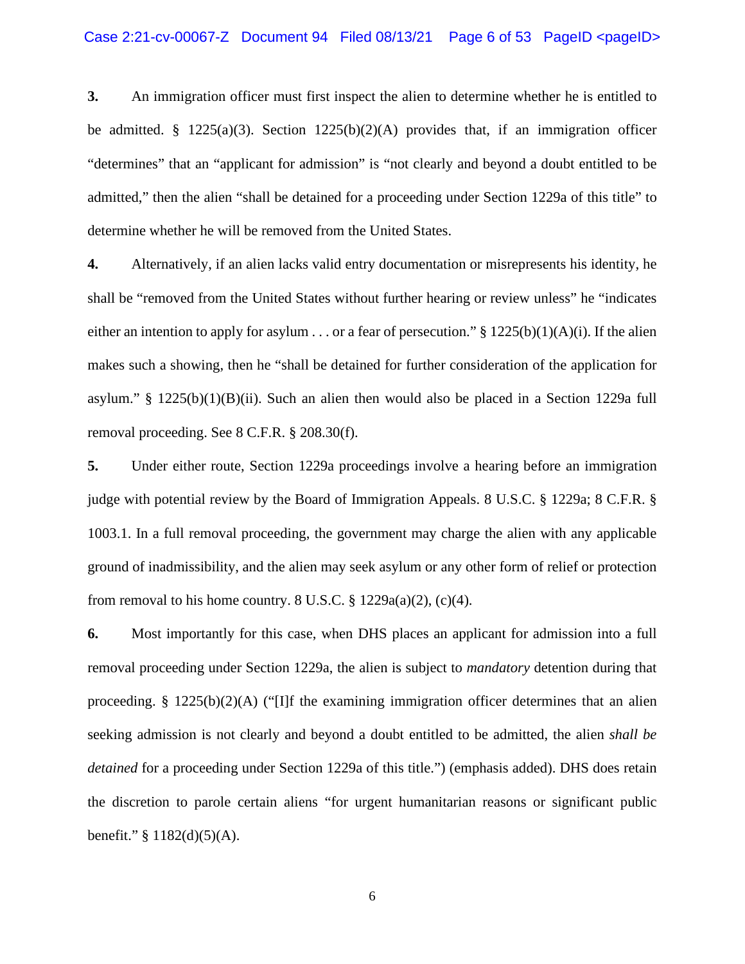**3.** An immigration officer must first inspect the alien to determine whether he is entitled to be admitted. § 1225(a)(3). Section 1225(b)(2)(A) provides that, if an immigration officer "determines" that an "applicant for admission" is "not clearly and beyond a doubt entitled to be admitted," then the alien "shall be detained for a proceeding under Section 1229a of this title" to determine whether he will be removed from the United States.

**4.** Alternatively, if an alien lacks valid entry documentation or misrepresents his identity, he shall be "removed from the United States without further hearing or review unless" he "indicates either an intention to apply for asylum . . . or a fear of persecution."  $\S 1225(b)(1)(A)(i)$ . If the alien makes such a showing, then he "shall be detained for further consideration of the application for asylum." §  $1225(b)(1)(B)(ii)$ . Such an alien then would also be placed in a Section 1229a full removal proceeding. See 8 C.F.R. § 208.30(f).

**5.** Under either route, Section 1229a proceedings involve a hearing before an immigration judge with potential review by the Board of Immigration Appeals. 8 U.S.C. § 1229a; 8 C.F.R. § 1003.1. In a full removal proceeding, the government may charge the alien with any applicable ground of inadmissibility, and the alien may seek asylum or any other form of relief or protection from removal to his home country. 8 U.S.C.  $\S$  1229a(a)(2), (c)(4).

**6.** Most importantly for this case, when DHS places an applicant for admission into a full removal proceeding under Section 1229a, the alien is subject to *mandatory* detention during that proceeding. § 1225(b)(2)(A) ("[I]f the examining immigration officer determines that an alien seeking admission is not clearly and beyond a doubt entitled to be admitted, the alien *shall be detained* for a proceeding under Section 1229a of this title.") (emphasis added). DHS does retain the discretion to parole certain aliens "for urgent humanitarian reasons or significant public benefit." § 1182(d)(5)(A).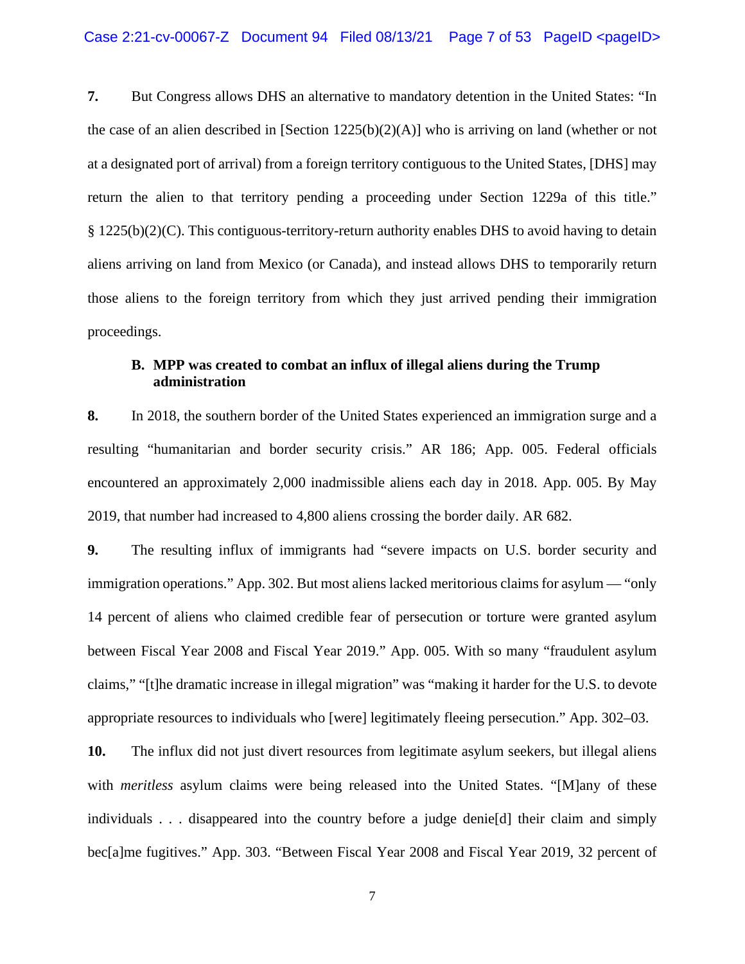**7.** But Congress allows DHS an alternative to mandatory detention in the United States: "In the case of an alien described in [Section  $1225(b)(2)(A)$ ] who is arriving on land (whether or not at a designated port of arrival) from a foreign territory contiguous to the United States, [DHS] may return the alien to that territory pending a proceeding under Section 1229a of this title." § 1225(b)(2)(C). This contiguous-territory-return authority enables DHS to avoid having to detain aliens arriving on land from Mexico (or Canada), and instead allows DHS to temporarily return those aliens to the foreign territory from which they just arrived pending their immigration proceedings.

# **B. MPP was created to combat an influx of illegal aliens during the Trump administration**

**8.** In 2018, the southern border of the United States experienced an immigration surge and a resulting "humanitarian and border security crisis." AR 186; App. 005. Federal officials encountered an approximately 2,000 inadmissible aliens each day in 2018. App. 005. By May 2019, that number had increased to 4,800 aliens crossing the border daily. AR 682.

**9.** The resulting influx of immigrants had "severe impacts on U.S. border security and immigration operations." App. 302. But most aliens lacked meritorious claims for asylum — "only 14 percent of aliens who claimed credible fear of persecution or torture were granted asylum between Fiscal Year 2008 and Fiscal Year 2019." App. 005. With so many "fraudulent asylum claims," "[t]he dramatic increase in illegal migration" was "making it harder for the U.S. to devote appropriate resources to individuals who [were] legitimately fleeing persecution." App. 302–03.

**10.** The influx did not just divert resources from legitimate asylum seekers, but illegal aliens with *meritless* asylum claims were being released into the United States. "[M]any of these individuals . . . disappeared into the country before a judge denie[d] their claim and simply bec[a]me fugitives." App. 303. "Between Fiscal Year 2008 and Fiscal Year 2019, 32 percent of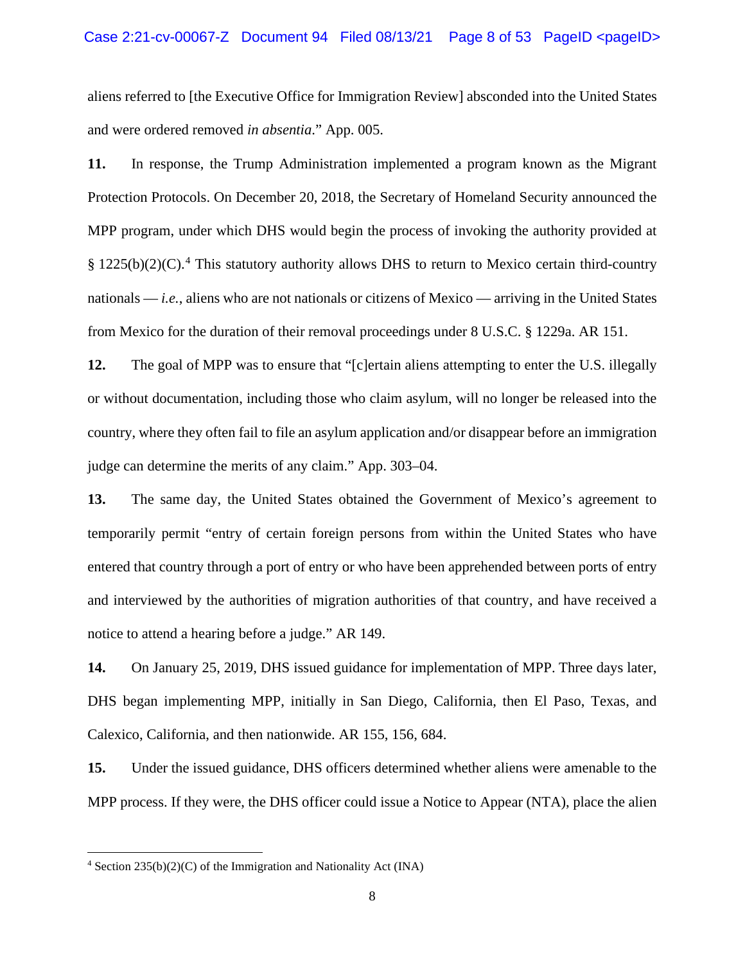### Case  $2:21$ -cv-00067-Z Document 94 Filed 08/13/21 Page 8 of 53 PageID <pageID>

aliens referred to [the Executive Office for Immigration Review] absconded into the United States and were ordered removed *in absentia*." App. 005.

**11.** In response, the Trump Administration implemented a program known as the Migrant Protection Protocols. On December 20, 2018, the Secretary of Homeland Security announced the MPP program, under which DHS would begin the process of invoking the authority provided at § 1225(b)(2)(C).<sup>[4](#page-7-0)</sup> This statutory authority allows DHS to return to Mexico certain third-country nationals — *i.e.*, aliens who are not nationals or citizens of Mexico — arriving in the United States from Mexico for the duration of their removal proceedings under 8 U.S.C. § 1229a. AR 151.

**12.** The goal of MPP was to ensure that "[c]ertain aliens attempting to enter the U.S. illegally or without documentation, including those who claim asylum, will no longer be released into the country, where they often fail to file an asylum application and/or disappear before an immigration judge can determine the merits of any claim." App. 303–04.

**13.** The same day, the United States obtained the Government of Mexico's agreement to temporarily permit "entry of certain foreign persons from within the United States who have entered that country through a port of entry or who have been apprehended between ports of entry and interviewed by the authorities of migration authorities of that country, and have received a notice to attend a hearing before a judge." AR 149.

**14.** On January 25, 2019, DHS issued guidance for implementation of MPP. Three days later, DHS began implementing MPP, initially in San Diego, California, then El Paso, Texas, and Calexico, California, and then nationwide. AR 155, 156, 684.

**15.** Under the issued guidance, DHS officers determined whether aliens were amenable to the MPP process. If they were, the DHS officer could issue a Notice to Appear (NTA), place the alien

<span id="page-7-0"></span> $4$  Section 235(b)(2)(C) of the Immigration and Nationality Act (INA)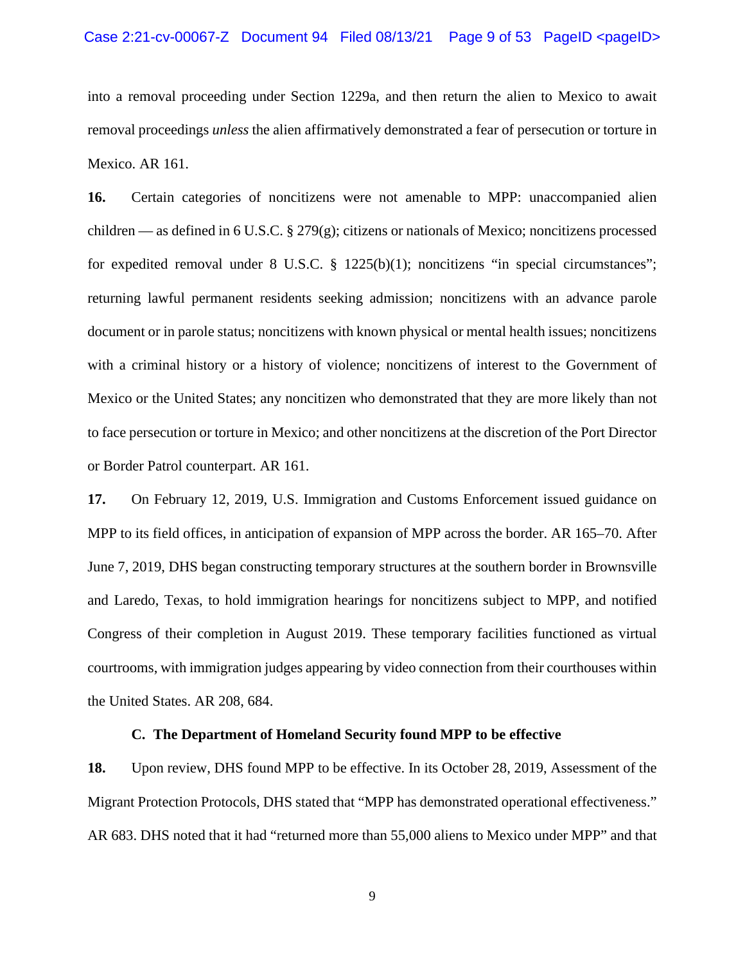into a removal proceeding under Section 1229a, and then return the alien to Mexico to await removal proceedings *unless* the alien affirmatively demonstrated a fear of persecution or torture in Mexico. AR 161.

**16.** Certain categories of noncitizens were not amenable to MPP: unaccompanied alien children — as defined in 6 U.S.C. § 279(g); citizens or nationals of Mexico; noncitizens processed for expedited removal under 8 U.S.C. § 1225(b)(1); noncitizens "in special circumstances"; returning lawful permanent residents seeking admission; noncitizens with an advance parole document or in parole status; noncitizens with known physical or mental health issues; noncitizens with a criminal history or a history of violence; noncitizens of interest to the Government of Mexico or the United States; any noncitizen who demonstrated that they are more likely than not to face persecution or torture in Mexico; and other noncitizens at the discretion of the Port Director or Border Patrol counterpart. AR 161.

**17.** On February 12, 2019, U.S. Immigration and Customs Enforcement issued guidance on MPP to its field offices, in anticipation of expansion of MPP across the border. AR 165–70. After June 7, 2019, DHS began constructing temporary structures at the southern border in Brownsville and Laredo, Texas, to hold immigration hearings for noncitizens subject to MPP, and notified Congress of their completion in August 2019. These temporary facilities functioned as virtual courtrooms, with immigration judges appearing by video connection from their courthouses within the United States. AR 208, 684.

#### **C. The Department of Homeland Security found MPP to be effective**

**18.** Upon review, DHS found MPP to be effective. In its October 28, 2019, Assessment of the Migrant Protection Protocols, DHS stated that "MPP has demonstrated operational effectiveness." AR 683. DHS noted that it had "returned more than 55,000 aliens to Mexico under MPP" and that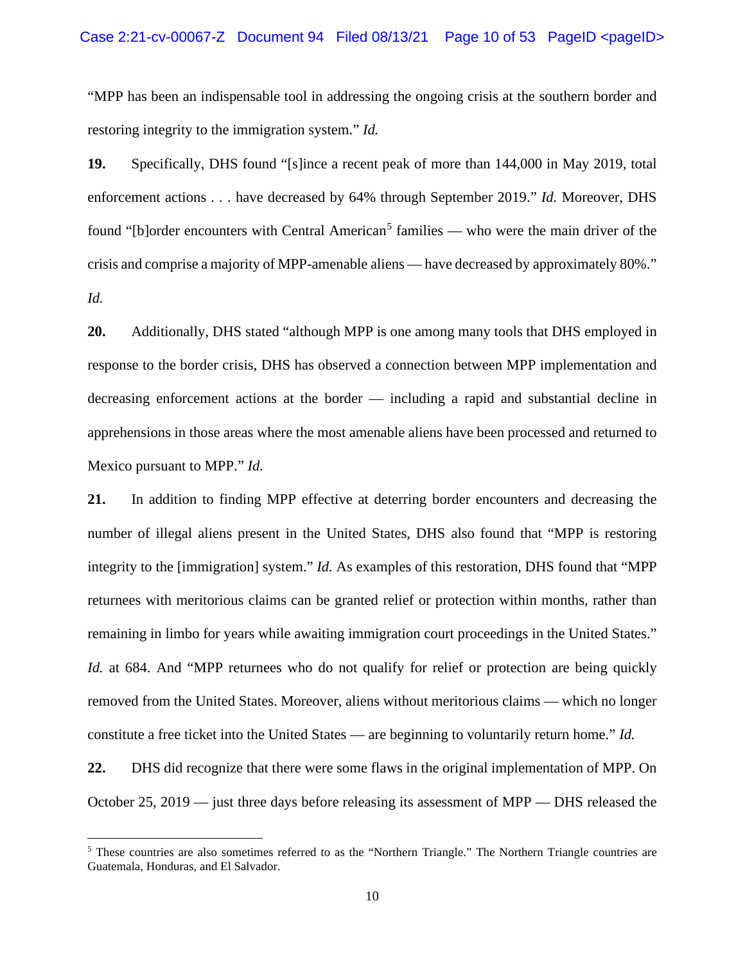"MPP has been an indispensable tool in addressing the ongoing crisis at the southern border and restoring integrity to the immigration system." *Id.*

**19.** Specifically, DHS found "[s]ince a recent peak of more than 144,000 in May 2019, total enforcement actions . . . have decreased by 64% through September 2019." *Id.* Moreover, DHS found "[b]order encounters with Central American<sup>[5](#page-9-0)</sup> families — who were the main driver of the crisis and comprise a majority of MPP-amenable aliens — have decreased by approximately 80%." *Id.*

**20.** Additionally, DHS stated "although MPP is one among many tools that DHS employed in response to the border crisis, DHS has observed a connection between MPP implementation and decreasing enforcement actions at the border — including a rapid and substantial decline in apprehensions in those areas where the most amenable aliens have been processed and returned to Mexico pursuant to MPP." *Id.*

**21.** In addition to finding MPP effective at deterring border encounters and decreasing the number of illegal aliens present in the United States, DHS also found that "MPP is restoring integrity to the [immigration] system." *Id.* As examples of this restoration, DHS found that "MPP returnees with meritorious claims can be granted relief or protection within months, rather than remaining in limbo for years while awaiting immigration court proceedings in the United States." *Id.* at 684. And "MPP returnees who do not qualify for relief or protection are being quickly removed from the United States. Moreover, aliens without meritorious claims — which no longer constitute a free ticket into the United States — are beginning to voluntarily return home." *Id.* 

**22.** DHS did recognize that there were some flaws in the original implementation of MPP. On October 25, 2019 — just three days before releasing its assessment of MPP — DHS released the

<span id="page-9-0"></span><sup>5</sup> These countries are also sometimes referred to as the "Northern Triangle." The Northern Triangle countries are Guatemala, Honduras, and El Salvador.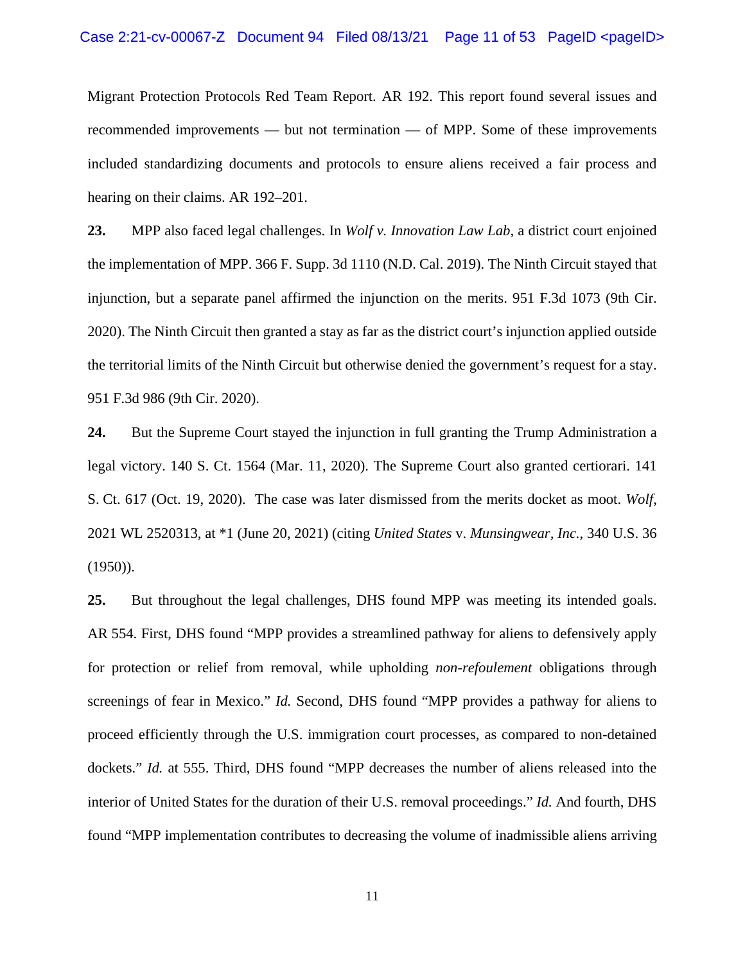Migrant Protection Protocols Red Team Report. AR 192. This report found several issues and recommended improvements — but not termination — of MPP. Some of these improvements included standardizing documents and protocols to ensure aliens received a fair process and hearing on their claims. AR 192–201.

**23.** MPP also faced legal challenges. In *Wolf v. Innovation Law Lab*, a district court enjoined the implementation of MPP. 366 F. Supp. 3d 1110 (N.D. Cal. 2019). The Ninth Circuit stayed that injunction, but a separate panel affirmed the injunction on the merits. 951 F.3d 1073 (9th Cir. 2020). The Ninth Circuit then granted a stay as far as the district court's injunction applied outside the territorial limits of the Ninth Circuit but otherwise denied the government's request for a stay. 951 F.3d 986 (9th Cir. 2020).

**24.** But the Supreme Court stayed the injunction in full granting the Trump Administration a legal victory. 140 S. Ct. 1564 (Mar. 11, 2020). The Supreme Court also granted certiorari. 141 S. Ct. 617 (Oct. 19, 2020). The case was later dismissed from the merits docket as moot. *Wolf*, 2021 WL 2520313, at \*1 (June 20, 2021) (citing *United States* v. *Munsingwear, Inc.*, 340 U.S. 36 (1950)).

**25.** But throughout the legal challenges, DHS found MPP was meeting its intended goals. AR 554. First, DHS found "MPP provides a streamlined pathway for aliens to defensively apply for protection or relief from removal, while upholding *non-refoulement* obligations through screenings of fear in Mexico." *Id.* Second, DHS found "MPP provides a pathway for aliens to proceed efficiently through the U.S. immigration court processes, as compared to non-detained dockets." *Id.* at 555. Third, DHS found "MPP decreases the number of aliens released into the interior of United States for the duration of their U.S. removal proceedings." *Id.* And fourth, DHS found "MPP implementation contributes to decreasing the volume of inadmissible aliens arriving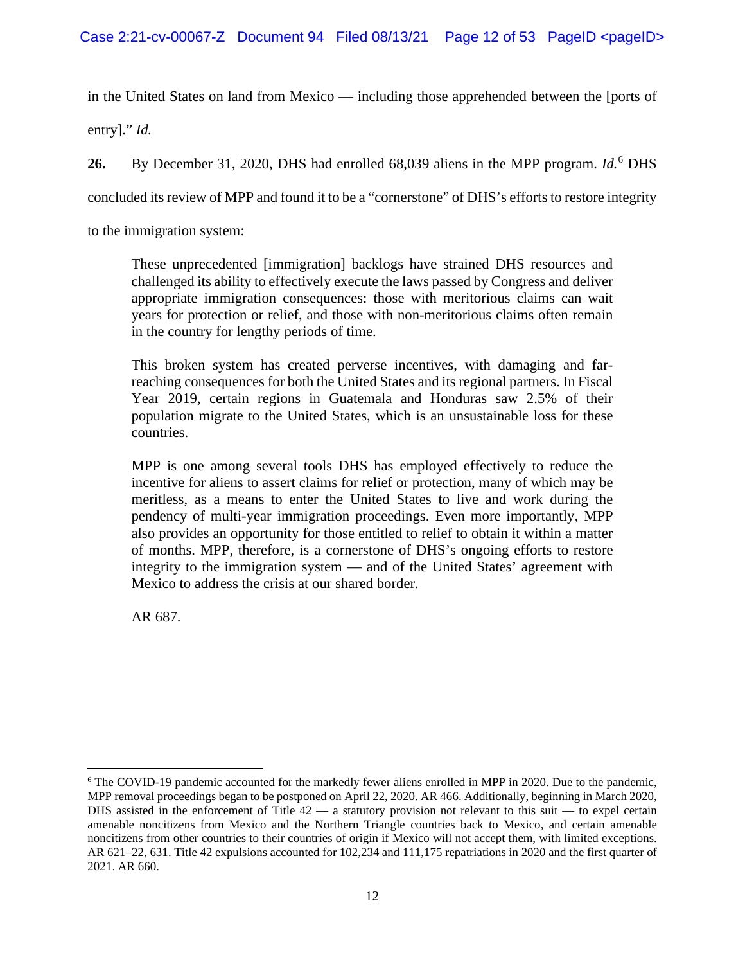in the United States on land from Mexico — including those apprehended between the [ports of

entry]." *Id.*

**26.** By December 31, 2020, DHS had enrolled 68,039 aliens in the MPP program. *Id.*[6](#page-11-0) DHS

concluded its review of MPP and found it to be a "cornerstone" of DHS's efforts to restore integrity

to the immigration system:

These unprecedented [immigration] backlogs have strained DHS resources and challenged its ability to effectively execute the laws passed by Congress and deliver appropriate immigration consequences: those with meritorious claims can wait years for protection or relief, and those with non-meritorious claims often remain in the country for lengthy periods of time.

This broken system has created perverse incentives, with damaging and farreaching consequences for both the United States and its regional partners. In Fiscal Year 2019, certain regions in Guatemala and Honduras saw 2.5% of their population migrate to the United States, which is an unsustainable loss for these countries.

MPP is one among several tools DHS has employed effectively to reduce the incentive for aliens to assert claims for relief or protection, many of which may be meritless, as a means to enter the United States to live and work during the pendency of multi-year immigration proceedings. Even more importantly, MPP also provides an opportunity for those entitled to relief to obtain it within a matter of months. MPP, therefore, is a cornerstone of DHS's ongoing efforts to restore integrity to the immigration system — and of the United States' agreement with Mexico to address the crisis at our shared border.

AR 687.

<span id="page-11-0"></span><sup>6</sup> The COVID-19 pandemic accounted for the markedly fewer aliens enrolled in MPP in 2020. Due to the pandemic, MPP removal proceedings began to be postponed on April 22, 2020. AR 466. Additionally, beginning in March 2020, DHS assisted in the enforcement of Title  $42 - a$  statutory provision not relevant to this suit  $-$  to expel certain amenable noncitizens from Mexico and the Northern Triangle countries back to Mexico, and certain amenable noncitizens from other countries to their countries of origin if Mexico will not accept them, with limited exceptions. AR 621–22, 631. Title 42 expulsions accounted for 102,234 and 111,175 repatriations in 2020 and the first quarter of 2021. AR 660.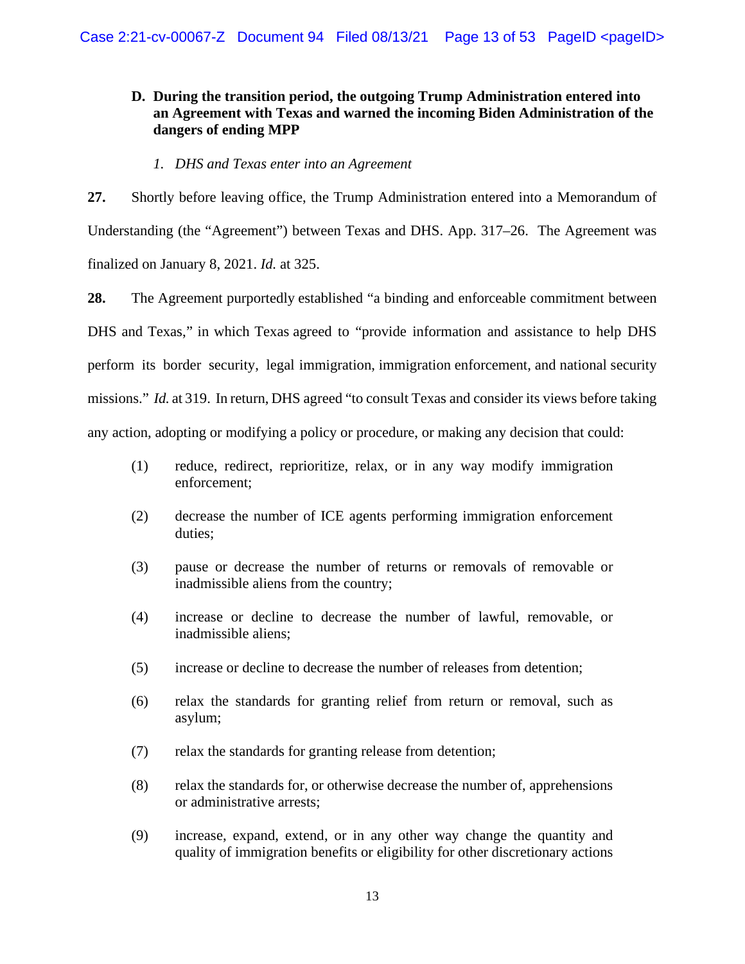# **D. During the transition period, the outgoing Trump Administration entered into an Agreement with Texas and warned the incoming Biden Administration of the dangers of ending MPP**

*1. DHS and Texas enter into an Agreement*

**27.** Shortly before leaving office, the Trump Administration entered into a Memorandum of Understanding (the "Agreement") between Texas and DHS. App. 317–26. The Agreement was finalized on January 8, 2021. *Id.* at 325.

**28.** The Agreement purportedly established "a binding and enforceable commitment between DHS and Texas," in which Texas agreed to "provide information and assistance to help DHS perform its border security, legal immigration, immigration enforcement, and national security missions." *Id.* at 319. In return, DHS agreed "to consult Texas and consider its views before taking any action, adopting or modifying a policy or procedure, or making any decision that could:

- (1) reduce, redirect, reprioritize, relax, or in any way modify immigration enforcement;
- (2) decrease the number of ICE agents performing immigration enforcement duties;
- (3) pause or decrease the number of returns or removals of removable or inadmissible aliens from the country;
- (4) increase or decline to decrease the number of lawful, removable, or inadmissible aliens;
- (5) increase or decline to decrease the number of releases from detention;
- (6) relax the standards for granting relief from return or removal, such as asylum;
- (7) relax the standards for granting release from detention;
- (8) relax the standards for, or otherwise decrease the number of, apprehensions or administrative arrests;
- (9) increase, expand, extend, or in any other way change the quantity and quality of immigration benefits or eligibility for other discretionary actions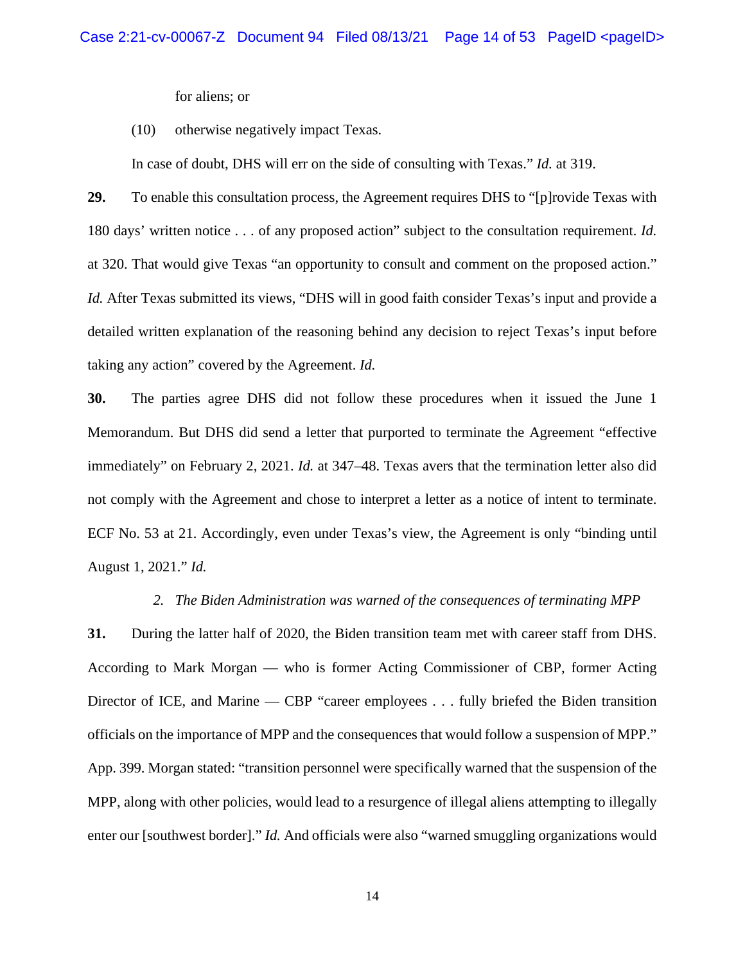for aliens; or

(10) otherwise negatively impact Texas.

In case of doubt, DHS will err on the side of consulting with Texas." *Id.* at 319.

**29.** To enable this consultation process, the Agreement requires DHS to "[p]rovide Texas with 180 days' written notice . . . of any proposed action" subject to the consultation requirement. *Id.*  at 320. That would give Texas "an opportunity to consult and comment on the proposed action." *Id.* After Texas submitted its views, "DHS will in good faith consider Texas's input and provide a detailed written explanation of the reasoning behind any decision to reject Texas's input before taking any action" covered by the Agreement. *Id.*

**30.** The parties agree DHS did not follow these procedures when it issued the June 1 Memorandum. But DHS did send a letter that purported to terminate the Agreement "effective immediately" on February 2, 2021. *Id.* at 347–48. Texas avers that the termination letter also did not comply with the Agreement and chose to interpret a letter as a notice of intent to terminate. ECF No. 53 at 21. Accordingly, even under Texas's view, the Agreement is only "binding until August 1, 2021." *Id.* 

#### *2. The Biden Administration was warned of the consequences of terminating MPP*

**31.** During the latter half of 2020, the Biden transition team met with career staff from DHS. According to Mark Morgan — who is former Acting Commissioner of CBP, former Acting Director of ICE, and Marine — CBP "career employees . . . fully briefed the Biden transition officials on the importance of MPP and the consequences that would follow a suspension of MPP." App. 399. Morgan stated: "transition personnel were specifically warned that the suspension of the MPP, along with other policies, would lead to a resurgence of illegal aliens attempting to illegally enter our [southwest border]." *Id.* And officials were also "warned smuggling organizations would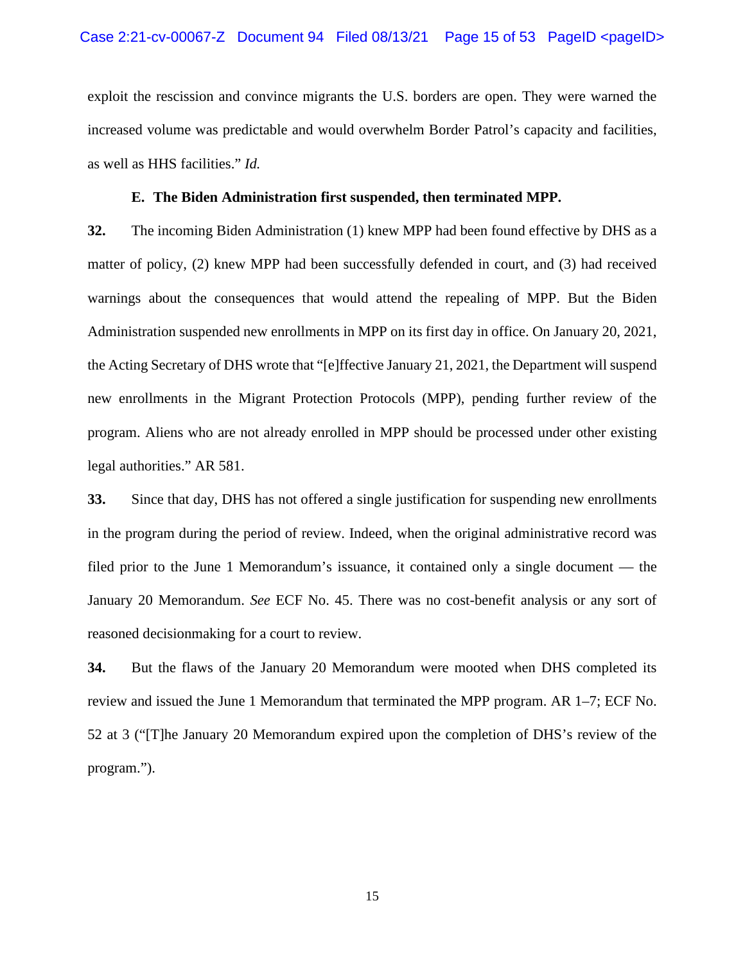exploit the rescission and convince migrants the U.S. borders are open. They were warned the increased volume was predictable and would overwhelm Border Patrol's capacity and facilities, as well as HHS facilities." *Id.* 

## **E. The Biden Administration first suspended, then terminated MPP.**

**32.** The incoming Biden Administration (1) knew MPP had been found effective by DHS as a matter of policy, (2) knew MPP had been successfully defended in court, and (3) had received warnings about the consequences that would attend the repealing of MPP. But the Biden Administration suspended new enrollments in MPP on its first day in office. On January 20, 2021, the Acting Secretary of DHS wrote that "[e]ffective January 21, 2021, the Department will suspend new enrollments in the Migrant Protection Protocols (MPP), pending further review of the program. Aliens who are not already enrolled in MPP should be processed under other existing legal authorities." AR 581.

**33.** Since that day, DHS has not offered a single justification for suspending new enrollments in the program during the period of review. Indeed, when the original administrative record was filed prior to the June 1 Memorandum's issuance, it contained only a single document — the January 20 Memorandum. *See* ECF No. 45. There was no cost-benefit analysis or any sort of reasoned decisionmaking for a court to review.

**34.** But the flaws of the January 20 Memorandum were mooted when DHS completed its review and issued the June 1 Memorandum that terminated the MPP program. AR 1–7; ECF No. 52 at 3 ("[T]he January 20 Memorandum expired upon the completion of DHS's review of the program.").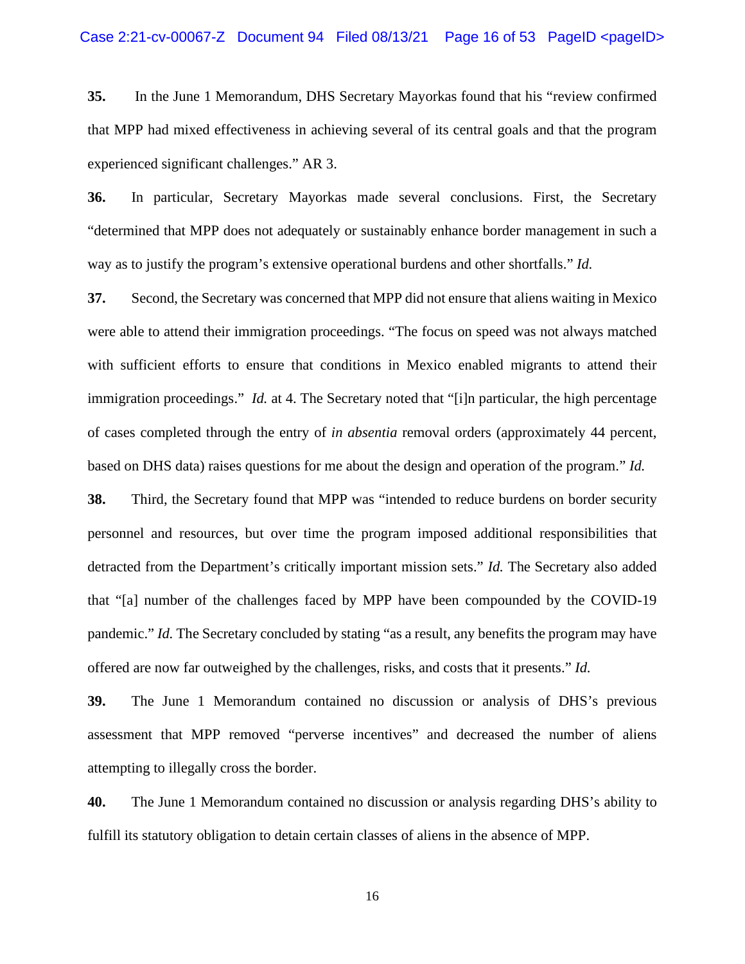**35.** In the June 1 Memorandum, DHS Secretary Mayorkas found that his "review confirmed that MPP had mixed effectiveness in achieving several of its central goals and that the program experienced significant challenges." AR 3.

**36.** In particular, Secretary Mayorkas made several conclusions. First, the Secretary "determined that MPP does not adequately or sustainably enhance border management in such a way as to justify the program's extensive operational burdens and other shortfalls." *Id.* 

**37.** Second, the Secretary was concerned that MPP did not ensure that aliens waiting in Mexico were able to attend their immigration proceedings. "The focus on speed was not always matched with sufficient efforts to ensure that conditions in Mexico enabled migrants to attend their immigration proceedings." *Id.* at 4. The Secretary noted that "[i]n particular, the high percentage of cases completed through the entry of *in absentia* removal orders (approximately 44 percent, based on DHS data) raises questions for me about the design and operation of the program." *Id.* 

**38.** Third, the Secretary found that MPP was "intended to reduce burdens on border security personnel and resources, but over time the program imposed additional responsibilities that detracted from the Department's critically important mission sets." *Id.* The Secretary also added that "[a] number of the challenges faced by MPP have been compounded by the COVID-19 pandemic." *Id.* The Secretary concluded by stating "as a result, any benefits the program may have offered are now far outweighed by the challenges, risks, and costs that it presents." *Id.* 

**39.** The June 1 Memorandum contained no discussion or analysis of DHS's previous assessment that MPP removed "perverse incentives" and decreased the number of aliens attempting to illegally cross the border.

**40.** The June 1 Memorandum contained no discussion or analysis regarding DHS's ability to fulfill its statutory obligation to detain certain classes of aliens in the absence of MPP.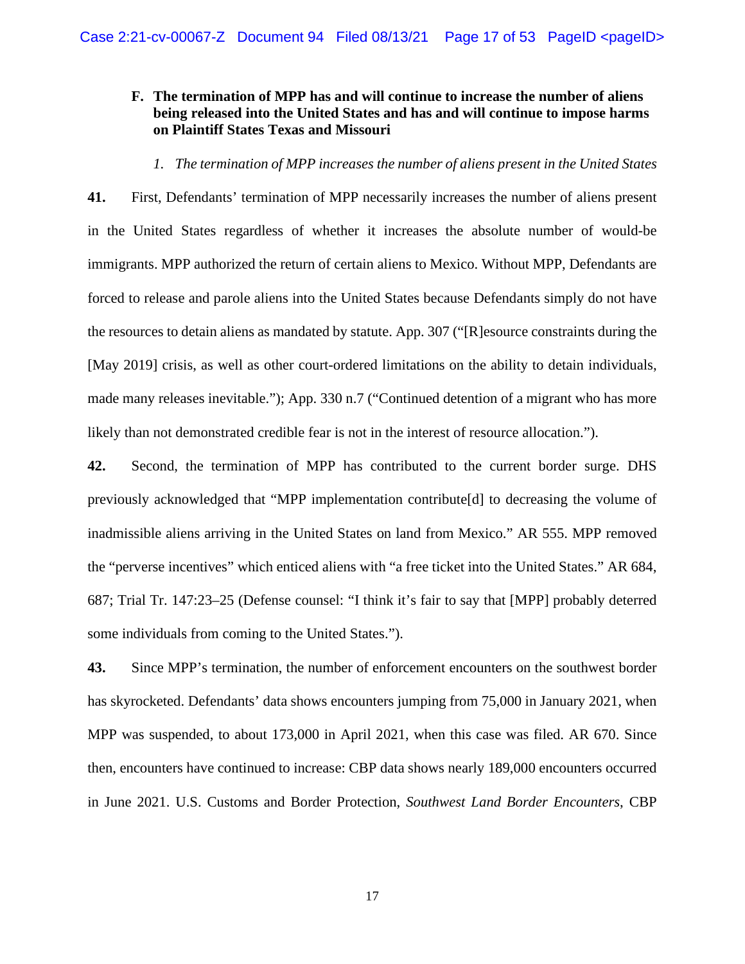## **F. The termination of MPP has and will continue to increase the number of aliens being released into the United States and has and will continue to impose harms on Plaintiff States Texas and Missouri**

*1. The termination of MPP increases the number of aliens present in the United States*

**41.** First, Defendants' termination of MPP necessarily increases the number of aliens present in the United States regardless of whether it increases the absolute number of would-be immigrants. MPP authorized the return of certain aliens to Mexico. Without MPP, Defendants are forced to release and parole aliens into the United States because Defendants simply do not have the resources to detain aliens as mandated by statute. App. 307 ("[R]esource constraints during the [May 2019] crisis, as well as other court-ordered limitations on the ability to detain individuals, made many releases inevitable."); App. 330 n.7 ("Continued detention of a migrant who has more likely than not demonstrated credible fear is not in the interest of resource allocation.").

**42.** Second, the termination of MPP has contributed to the current border surge. DHS previously acknowledged that "MPP implementation contribute[d] to decreasing the volume of inadmissible aliens arriving in the United States on land from Mexico." AR 555. MPP removed the "perverse incentives" which enticed aliens with "a free ticket into the United States." AR 684, 687; Trial Tr. 147:23–25 (Defense counsel: "I think it's fair to say that [MPP] probably deterred some individuals from coming to the United States.").

**43.** Since MPP's termination, the number of enforcement encounters on the southwest border has skyrocketed. Defendants' data shows encounters jumping from 75,000 in January 2021, when MPP was suspended, to about 173,000 in April 2021, when this case was filed. AR 670. Since then, encounters have continued to increase: CBP data shows nearly 189,000 encounters occurred in June 2021. U.S. Customs and Border Protection, *Southwest Land Border Encounters*, CBP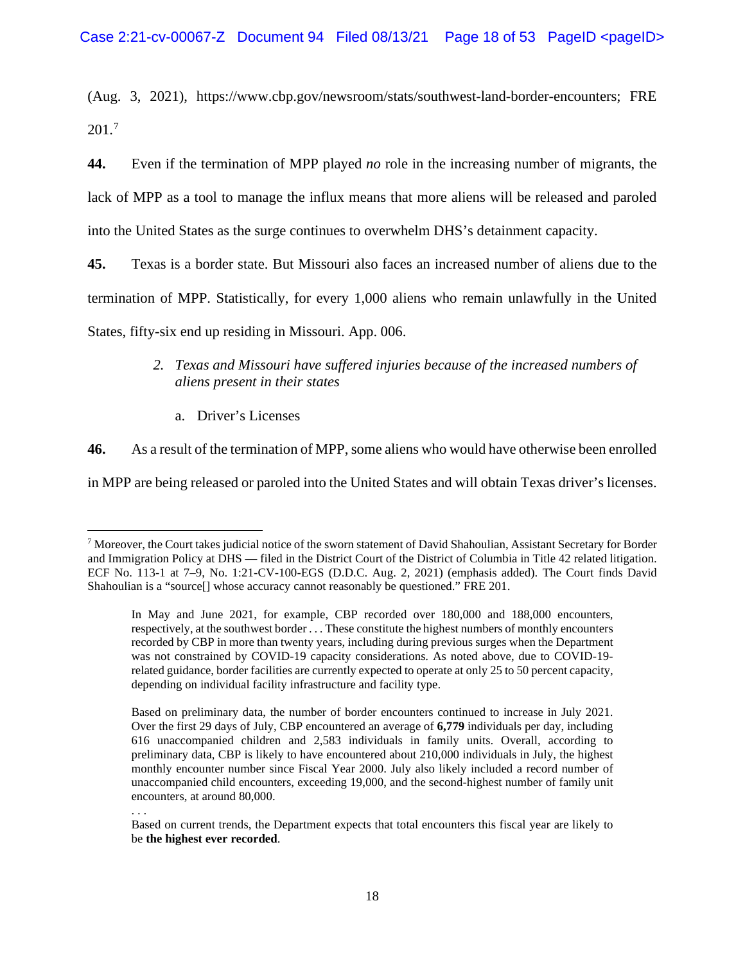(Aug. 3, 2021), https://www.cbp.gov/newsroom/stats/southwest-land-border-encounters; FRE 201.[7](#page-17-0)

**44.** Even if the termination of MPP played *no* role in the increasing number of migrants, the lack of MPP as a tool to manage the influx means that more aliens will be released and paroled into the United States as the surge continues to overwhelm DHS's detainment capacity.

**45.** Texas is a border state. But Missouri also faces an increased number of aliens due to the termination of MPP. Statistically, for every 1,000 aliens who remain unlawfully in the United States, fifty-six end up residing in Missouri. App. 006.

- *2. Texas and Missouri have suffered injuries because of the increased numbers of aliens present in their states*
	- a. Driver's Licenses

**46.** As a result of the termination of MPP, some aliens who would have otherwise been enrolled

in MPP are being released or paroled into the United States and will obtain Texas driver's licenses.

. . .

<span id="page-17-0"></span> $^7$  Moreover, the Court takes judicial notice of the sworn statement of David Shahoulian, Assistant Secretary for Border and Immigration Policy at DHS — filed in the District Court of the District of Columbia in Title 42 related litigation. ECF No. 113-1 at 7–9, No. 1:21-CV-100-EGS (D.D.C. Aug. 2, 2021) (emphasis added). The Court finds David Shahoulian is a "source[] whose accuracy cannot reasonably be questioned." FRE 201.

In May and June 2021, for example, CBP recorded over 180,000 and 188,000 encounters, respectively, at the southwest border . . . These constitute the highest numbers of monthly encounters recorded by CBP in more than twenty years, including during previous surges when the Department was not constrained by COVID-19 capacity considerations. As noted above, due to COVID-19 related guidance, border facilities are currently expected to operate at only 25 to 50 percent capacity, depending on individual facility infrastructure and facility type.

Based on preliminary data, the number of border encounters continued to increase in July 2021. Over the first 29 days of July, CBP encountered an average of **6,779** individuals per day, including 616 unaccompanied children and 2,583 individuals in family units. Overall, according to preliminary data, CBP is likely to have encountered about 210,000 individuals in July, the highest monthly encounter number since Fiscal Year 2000. July also likely included a record number of unaccompanied child encounters, exceeding 19,000, and the second-highest number of family unit encounters, at around 80,000.

Based on current trends, the Department expects that total encounters this fiscal year are likely to be **the highest ever recorded**.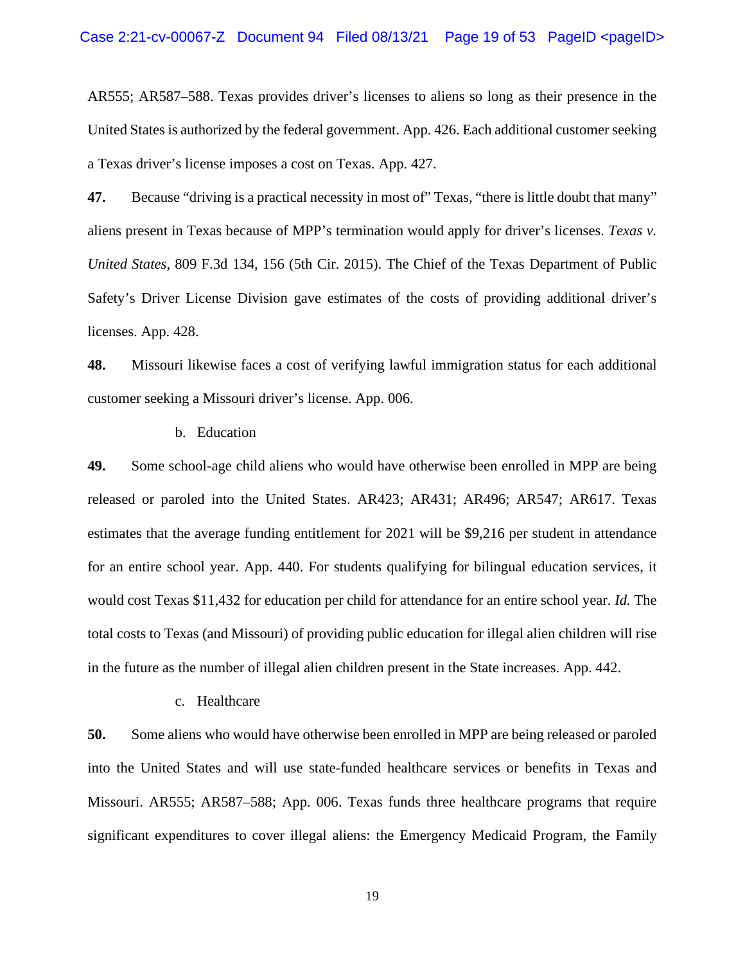AR555; AR587–588. Texas provides driver's licenses to aliens so long as their presence in the United States is authorized by the federal government. App. 426. Each additional customer seeking a Texas driver's license imposes a cost on Texas. App. 427.

**47.** Because "driving is a practical necessity in most of" Texas, "there is little doubt that many" aliens present in Texas because of MPP's termination would apply for driver's licenses. *Texas v. United States*, 809 F.3d 134, 156 (5th Cir. 2015). The Chief of the Texas Department of Public Safety's Driver License Division gave estimates of the costs of providing additional driver's licenses. App. 428.

**48.** Missouri likewise faces a cost of verifying lawful immigration status for each additional customer seeking a Missouri driver's license. App. 006.

b. Education

**49.** Some school-age child aliens who would have otherwise been enrolled in MPP are being released or paroled into the United States. AR423; AR431; AR496; AR547; AR617. Texas estimates that the average funding entitlement for 2021 will be \$9,216 per student in attendance for an entire school year. App. 440. For students qualifying for bilingual education services, it would cost Texas \$11,432 for education per child for attendance for an entire school year. *Id.* The total costs to Texas (and Missouri) of providing public education for illegal alien children will rise in the future as the number of illegal alien children present in the State increases. App. 442.

c. Healthcare

**50.** Some aliens who would have otherwise been enrolled in MPP are being released or paroled into the United States and will use state-funded healthcare services or benefits in Texas and Missouri. AR555; AR587–588; App. 006. Texas funds three healthcare programs that require significant expenditures to cover illegal aliens: the Emergency Medicaid Program, the Family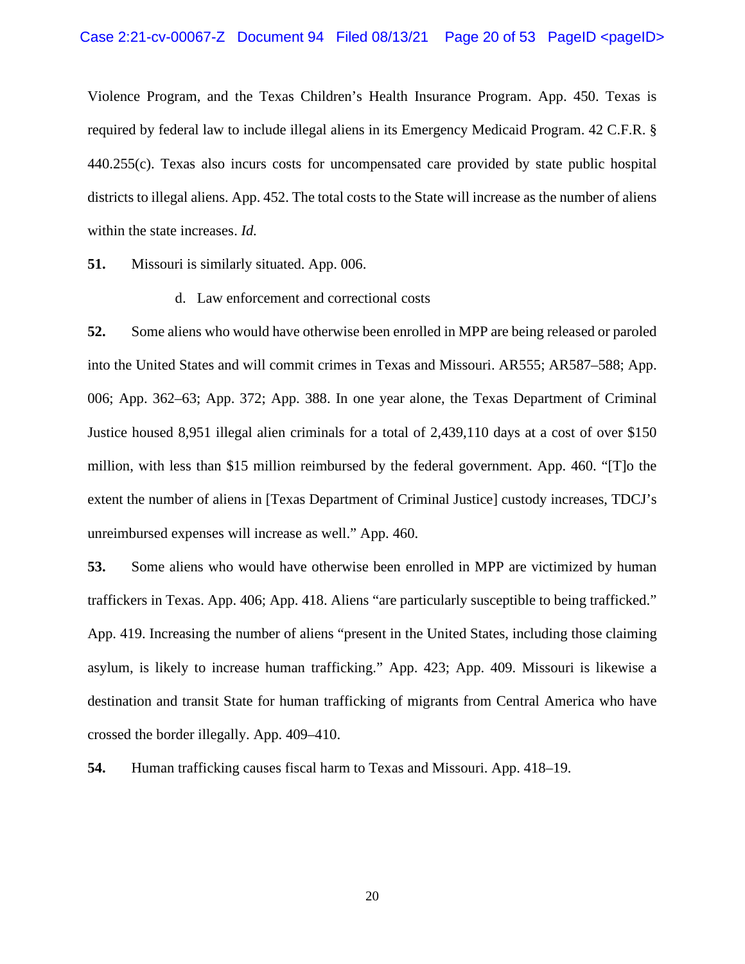Violence Program, and the Texas Children's Health Insurance Program. App. 450. Texas is required by federal law to include illegal aliens in its Emergency Medicaid Program. 42 C.F.R. § 440.255(c). Texas also incurs costs for uncompensated care provided by state public hospital districts to illegal aliens. App. 452. The total costs to the State will increase as the number of aliens within the state increases. *Id.* 

**51.** Missouri is similarly situated. App. 006.

d. Law enforcement and correctional costs

**52.** Some aliens who would have otherwise been enrolled in MPP are being released or paroled into the United States and will commit crimes in Texas and Missouri. AR555; AR587–588; App. 006; App. 362–63; App. 372; App. 388. In one year alone, the Texas Department of Criminal Justice housed 8,951 illegal alien criminals for a total of 2,439,110 days at a cost of over \$150 million, with less than \$15 million reimbursed by the federal government. App. 460. "[T]o the extent the number of aliens in [Texas Department of Criminal Justice] custody increases, TDCJ's unreimbursed expenses will increase as well." App. 460.

**53.** Some aliens who would have otherwise been enrolled in MPP are victimized by human traffickers in Texas. App. 406; App. 418. Aliens "are particularly susceptible to being trafficked." App. 419. Increasing the number of aliens "present in the United States, including those claiming asylum, is likely to increase human trafficking." App. 423; App. 409. Missouri is likewise a destination and transit State for human trafficking of migrants from Central America who have crossed the border illegally. App. 409–410.

**54.** Human trafficking causes fiscal harm to Texas and Missouri. App. 418–19.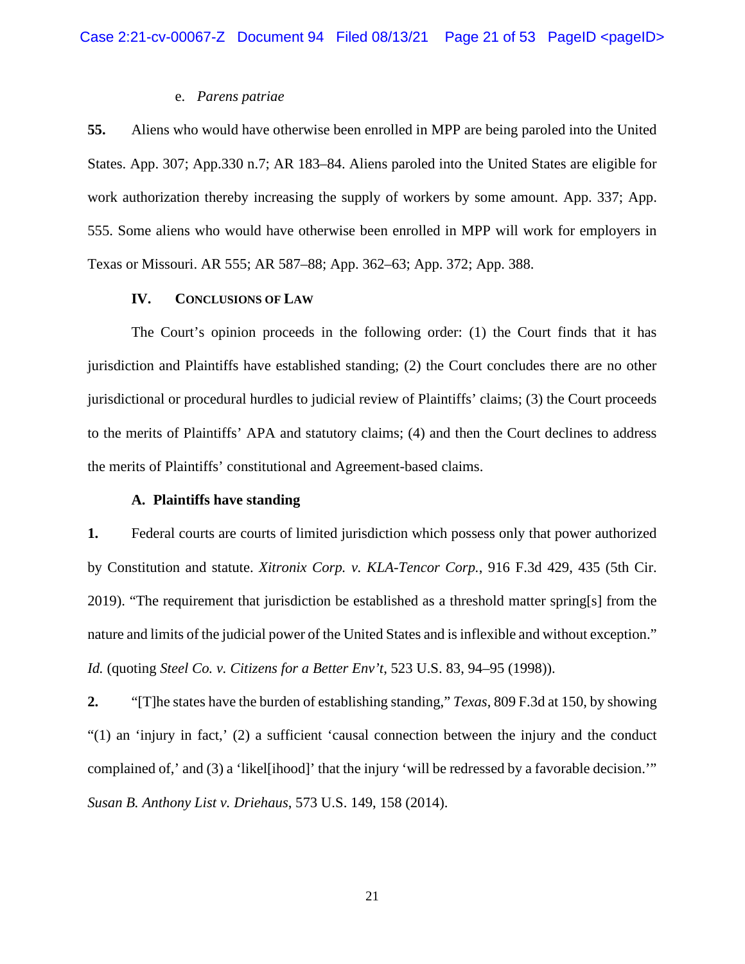## e. *Parens patriae*

**55.** Aliens who would have otherwise been enrolled in MPP are being paroled into the United States. App. 307; App.330 n.7; AR 183–84. Aliens paroled into the United States are eligible for work authorization thereby increasing the supply of workers by some amount. App. 337; App. 555. Some aliens who would have otherwise been enrolled in MPP will work for employers in Texas or Missouri. AR 555; AR 587–88; App. 362–63; App. 372; App. 388.

## **IV. CONCLUSIONS OF LAW**

The Court's opinion proceeds in the following order: (1) the Court finds that it has jurisdiction and Plaintiffs have established standing; (2) the Court concludes there are no other jurisdictional or procedural hurdles to judicial review of Plaintiffs' claims; (3) the Court proceeds to the merits of Plaintiffs' APA and statutory claims; (4) and then the Court declines to address the merits of Plaintiffs' constitutional and Agreement-based claims.

#### **A. Plaintiffs have standing**

**1.** Federal courts are courts of limited jurisdiction which possess only that power authorized by Constitution and statute. *Xitronix Corp. v. KLA-Tencor Corp.*, 916 F.3d 429, 435 (5th Cir. 2019). "The requirement that jurisdiction be established as a threshold matter spring[s] from the nature and limits of the judicial power of the United States and is inflexible and without exception." *Id.* (quoting *Steel Co. v. Citizens for a Better Env't*, 523 U.S. 83, 94–95 (1998)).

**2.** "[T]he states have the burden of establishing standing," *Texas*, 809 F.3d at 150, by showing "(1) an 'injury in fact,' (2) a sufficient 'causal connection between the injury and the conduct complained of,' and (3) a 'likel[ihood]' that the injury 'will be redressed by a favorable decision.'" *Susan B. Anthony List v. Driehaus*, 573 U.S. 149, 158 (2014).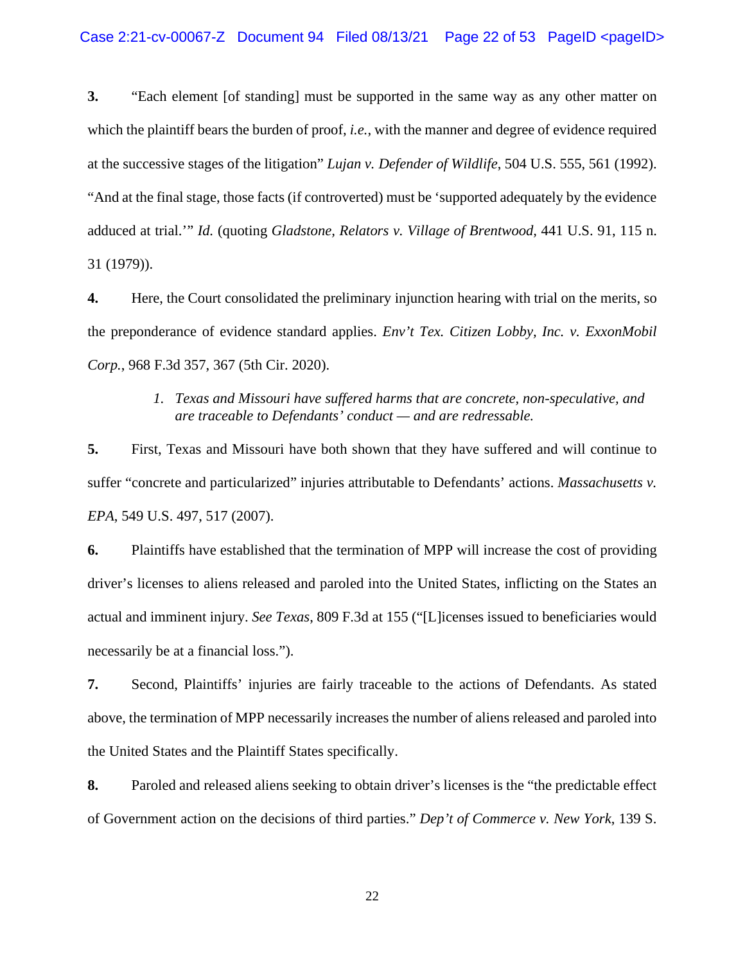**3.** "Each element [of standing] must be supported in the same way as any other matter on which the plaintiff bears the burden of proof, *i.e.*, with the manner and degree of evidence required at the successive stages of the litigation" *Lujan v. Defender of Wildlife*, 504 U.S. 555, 561 (1992). "And at the final stage, those facts (if controverted) must be 'supported adequately by the evidence adduced at trial.'" *Id.* (quoting *Gladstone, Relators v. Village of Brentwood,* 441 U.S. 91, 115 n. 31 (1979)).

**4.** Here, the Court consolidated the preliminary injunction hearing with trial on the merits, so the preponderance of evidence standard applies. *Env't Tex. Citizen Lobby, Inc. v. ExxonMobil Corp.*, 968 F.3d 357, 367 (5th Cir. 2020).

## *1. Texas and Missouri have suffered harms that are concrete, non-speculative, and are traceable to Defendants' conduct — and are redressable.*

**5.** First, Texas and Missouri have both shown that they have suffered and will continue to suffer "concrete and particularized" injuries attributable to Defendants' actions. *Massachusetts v. EPA*, 549 U.S. 497, 517 (2007).

**6.** Plaintiffs have established that the termination of MPP will increase the cost of providing driver's licenses to aliens released and paroled into the United States, inflicting on the States an actual and imminent injury. *See Texas*, 809 F.3d at 155 ("[L]icenses issued to beneficiaries would necessarily be at a financial loss.").

**7.** Second, Plaintiffs' injuries are fairly traceable to the actions of Defendants. As stated above, the termination of MPP necessarily increases the number of aliens released and paroled into the United States and the Plaintiff States specifically.

**8.** Paroled and released aliens seeking to obtain driver's licenses is the "the predictable effect of Government action on the decisions of third parties." *Dep't of Commerce v. New York*, 139 S.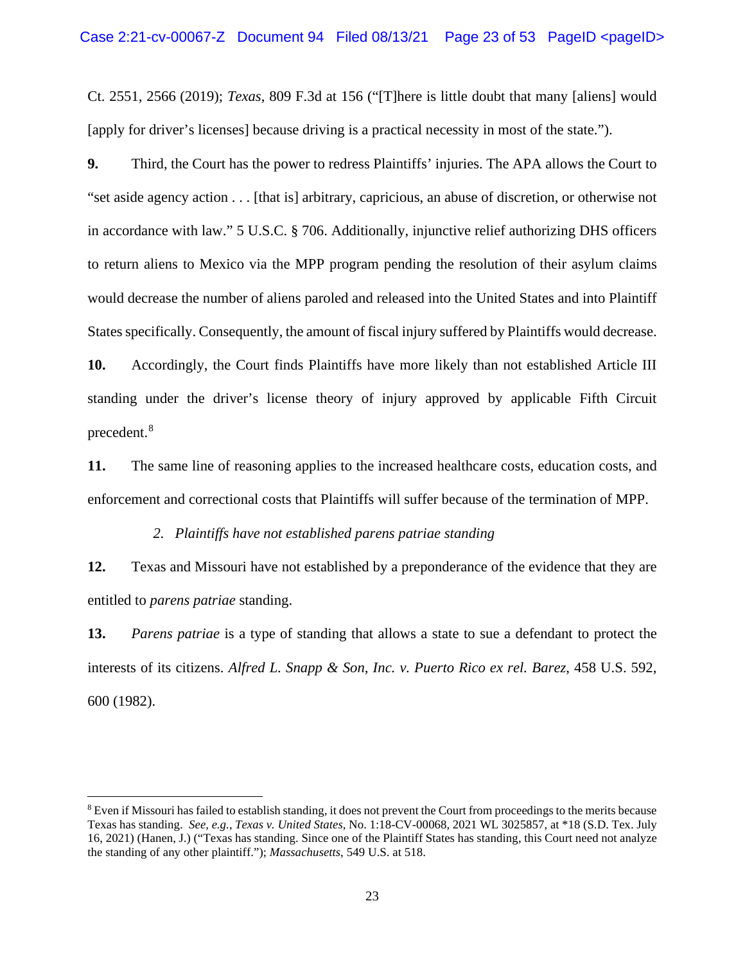Ct. 2551, 2566 (2019); *Texas,* 809 F.3d at 156 ("[T]here is little doubt that many [aliens] would [apply for driver's licenses] because driving is a practical necessity in most of the state.").

**9.** Third, the Court has the power to redress Plaintiffs' injuries. The APA allows the Court to "set aside agency action . . . [that is] arbitrary, capricious, an abuse of discretion, or otherwise not in accordance with law." 5 U.S.C. § 706. Additionally, injunctive relief authorizing DHS officers to return aliens to Mexico via the MPP program pending the resolution of their asylum claims would decrease the number of aliens paroled and released into the United States and into Plaintiff States specifically. Consequently, the amount of fiscal injury suffered by Plaintiffs would decrease.

**10.** Accordingly, the Court finds Plaintiffs have more likely than not established Article III standing under the driver's license theory of injury approved by applicable Fifth Circuit precedent. [8](#page-22-0)

**11.** The same line of reasoning applies to the increased healthcare costs, education costs, and enforcement and correctional costs that Plaintiffs will suffer because of the termination of MPP.

### *2. Plaintiffs have not established parens patriae standing*

**12.** Texas and Missouri have not established by a preponderance of the evidence that they are entitled to *parens patriae* standing.

**13.** *Parens patriae* is a type of standing that allows a state to sue a defendant to protect the interests of its citizens. *Alfred L. Snapp & Son, Inc. v. Puerto Rico ex rel. Barez*, 458 U.S. 592, 600 (1982).

<span id="page-22-0"></span><sup>&</sup>lt;sup>8</sup> Even if Missouri has failed to establish standing, it does not prevent the Court from proceedings to the merits because Texas has standing. *See, e.g.*, *Texas v. United States*, No. 1:18-CV-00068, 2021 WL 3025857, at \*18 (S.D. Tex. July 16, 2021) (Hanen, J.) ("Texas has standing. Since one of the Plaintiff States has standing, this Court need not analyze the standing of any other plaintiff."); *Massachusetts*, 549 U.S. at 518.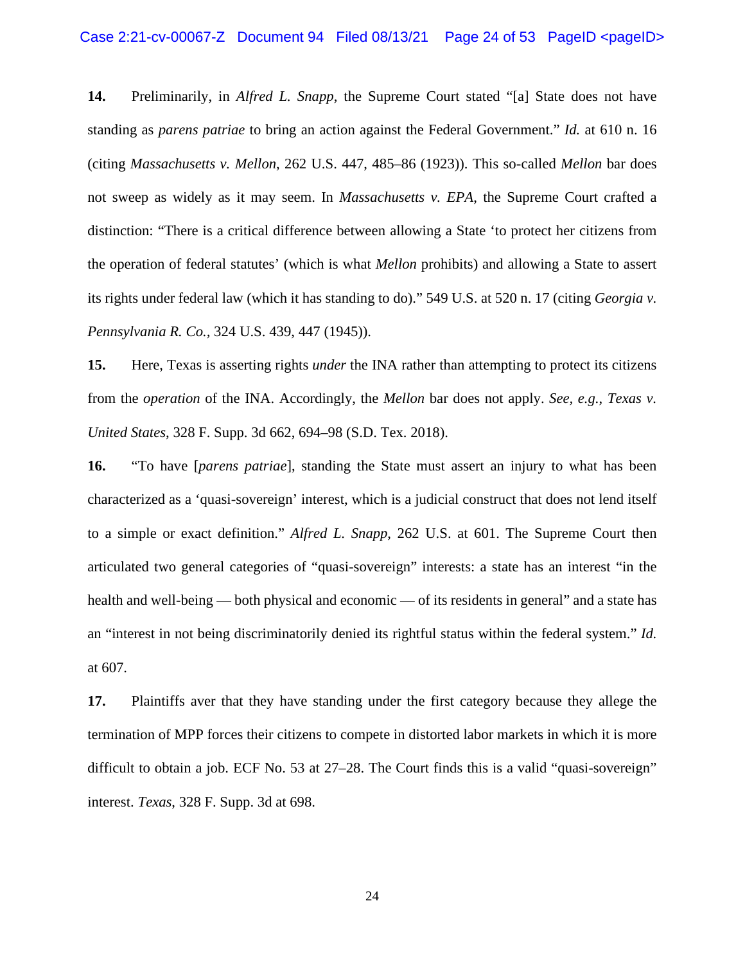**14.** Preliminarily, in *Alfred L. Snapp*, the Supreme Court stated "[a] State does not have standing as *parens patriae* to bring an action against the Federal Government." *Id.* at 610 n. 16 (citing *Massachusetts v. Mellon*, 262 U.S. 447, 485–86 (1923)). This so-called *Mellon* bar does not sweep as widely as it may seem. In *Massachusetts v. EPA*, the Supreme Court crafted a distinction: "There is a critical difference between allowing a State 'to protect her citizens from the operation of federal statutes' (which is what *Mellon* prohibits) and allowing a State to assert its rights under federal law (which it has standing to do)." 549 U.S. at 520 n. 17 (citing *Georgia v. Pennsylvania R. Co.,* 324 U.S. 439, 447 (1945)).

**15.** Here, Texas is asserting rights *under* the INA rather than attempting to protect its citizens from the *operation* of the INA. Accordingly, the *Mellon* bar does not apply. *See, e.g.*, *Texas v. United States*, 328 F. Supp. 3d 662, 694–98 (S.D. Tex. 2018).

**16.** "To have [*parens patriae*], standing the State must assert an injury to what has been characterized as a 'quasi-sovereign' interest, which is a judicial construct that does not lend itself to a simple or exact definition." *Alfred L. Snapp*, 262 U.S. at 601. The Supreme Court then articulated two general categories of "quasi-sovereign" interests: a state has an interest "in the health and well-being — both physical and economic — of its residents in general" and a state has an "interest in not being discriminatorily denied its rightful status within the federal system." *Id.*  at 607.

**17.** Plaintiffs aver that they have standing under the first category because they allege the termination of MPP forces their citizens to compete in distorted labor markets in which it is more difficult to obtain a job. ECF No. 53 at 27–28. The Court finds this is a valid "quasi-sovereign" interest. *Texas*, 328 F. Supp. 3d at 698.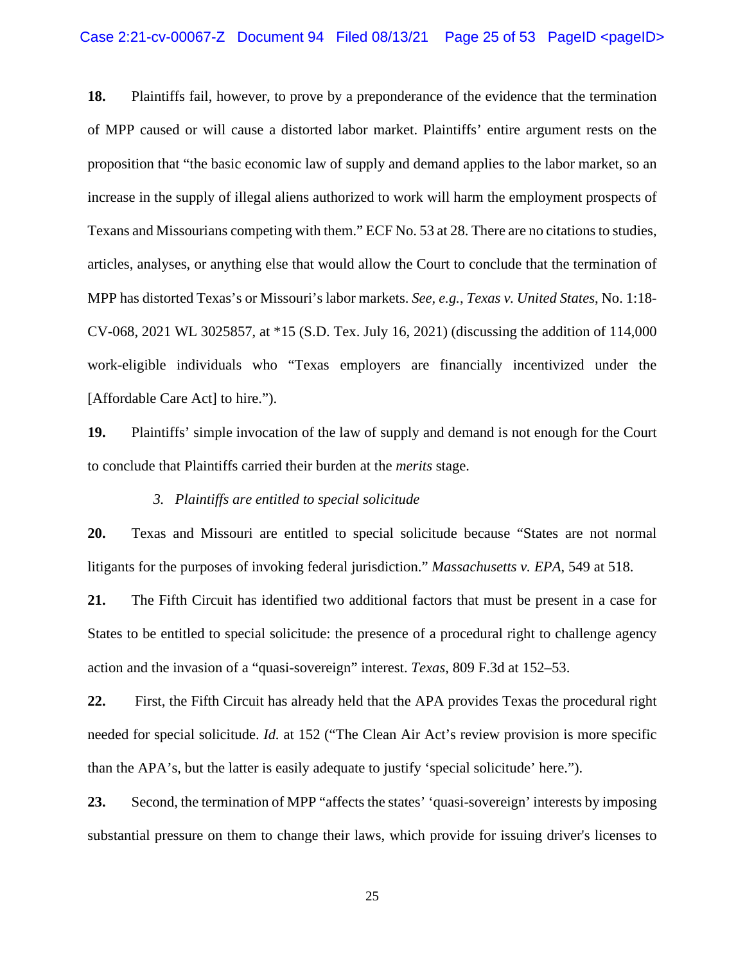**18.** Plaintiffs fail, however, to prove by a preponderance of the evidence that the termination of MPP caused or will cause a distorted labor market. Plaintiffs' entire argument rests on the proposition that "the basic economic law of supply and demand applies to the labor market, so an increase in the supply of illegal aliens authorized to work will harm the employment prospects of Texans and Missourians competing with them." ECF No. 53 at 28. There are no citations to studies, articles, analyses, or anything else that would allow the Court to conclude that the termination of MPP has distorted Texas's or Missouri's labor markets. *See, e.g.*, *Texas v. United States*, No. 1:18- CV-068, 2021 WL 3025857, at \*15 (S.D. Tex. July 16, 2021) (discussing the addition of 114,000 work-eligible individuals who "Texas employers are financially incentivized under the [Affordable Care Act] to hire.").

**19.** Plaintiffs' simple invocation of the law of supply and demand is not enough for the Court to conclude that Plaintiffs carried their burden at the *merits* stage.

#### *3. Plaintiffs are entitled to special solicitude*

**20.** Texas and Missouri are entitled to special solicitude because "States are not normal litigants for the purposes of invoking federal jurisdiction." *Massachusetts v. EPA*, 549 at 518.

**21.** The Fifth Circuit has identified two additional factors that must be present in a case for States to be entitled to special solicitude: the presence of a procedural right to challenge agency action and the invasion of a "quasi-sovereign" interest. *Texas*, 809 F.3d at 152–53.

**22.** First, the Fifth Circuit has already held that the APA provides Texas the procedural right needed for special solicitude. *Id.* at 152 ("The Clean Air Act's review provision is more specific than the APA's, but the latter is easily adequate to justify 'special solicitude' here.").

**23.** Second, the termination of MPP "affects the states' 'quasi-sovereign' interests by imposing substantial pressure on them to change their laws, which provide for issuing driver's licenses to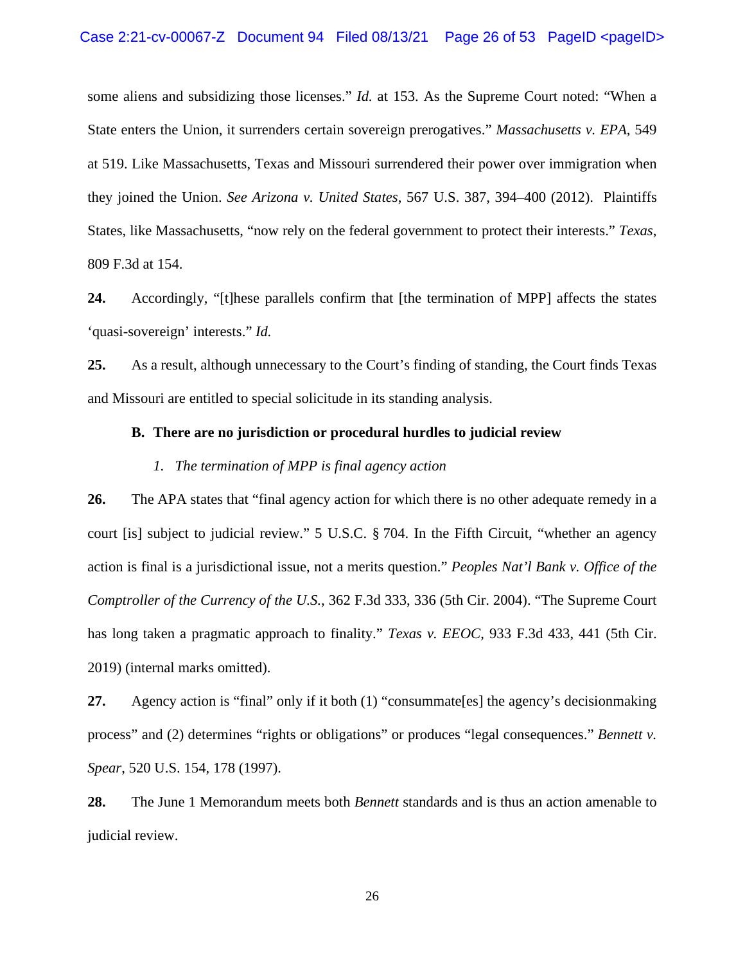some aliens and subsidizing those licenses." *Id.* at 153. As the Supreme Court noted: "When a State enters the Union, it surrenders certain sovereign prerogatives." *Massachusetts v. EPA*, 549 at 519. Like Massachusetts, Texas and Missouri surrendered their power over immigration when they joined the Union. *See Arizona v. United States*, 567 U.S. 387, 394–400 (2012). Plaintiffs States, like Massachusetts, "now rely on the federal government to protect their interests." *Texas*, 809 F.3d at 154.

**24.** Accordingly, "[t]hese parallels confirm that [the termination of MPP] affects the states 'quasi-sovereign' interests." *Id.* 

**25.** As a result, although unnecessary to the Court's finding of standing, the Court finds Texas and Missouri are entitled to special solicitude in its standing analysis.

## **B. There are no jurisdiction or procedural hurdles to judicial review**

## *1. The termination of MPP is final agency action*

**26.** The APA states that "final agency action for which there is no other adequate remedy in a court [is] subject to judicial review." 5 U.S.C. § 704. In the Fifth Circuit, "whether an agency action is final is a jurisdictional issue, not a merits question." *Peoples Nat'l Bank v. Office of the Comptroller of the Currency of the U.S.*, 362 F.3d 333, 336 (5th Cir. 2004). "The Supreme Court has long taken a pragmatic approach to finality." *Texas v. EEOC*, 933 F.3d 433, 441 (5th Cir. 2019) (internal marks omitted).

**27.** Agency action is "final" only if it both (1) "consummate[es] the agency's decisionmaking process" and (2) determines "rights or obligations" or produces "legal consequences." *Bennett v. Spear*, 520 U.S. 154, 178 (1997).

**28.** The June 1 Memorandum meets both *Bennett* standards and is thus an action amenable to judicial review.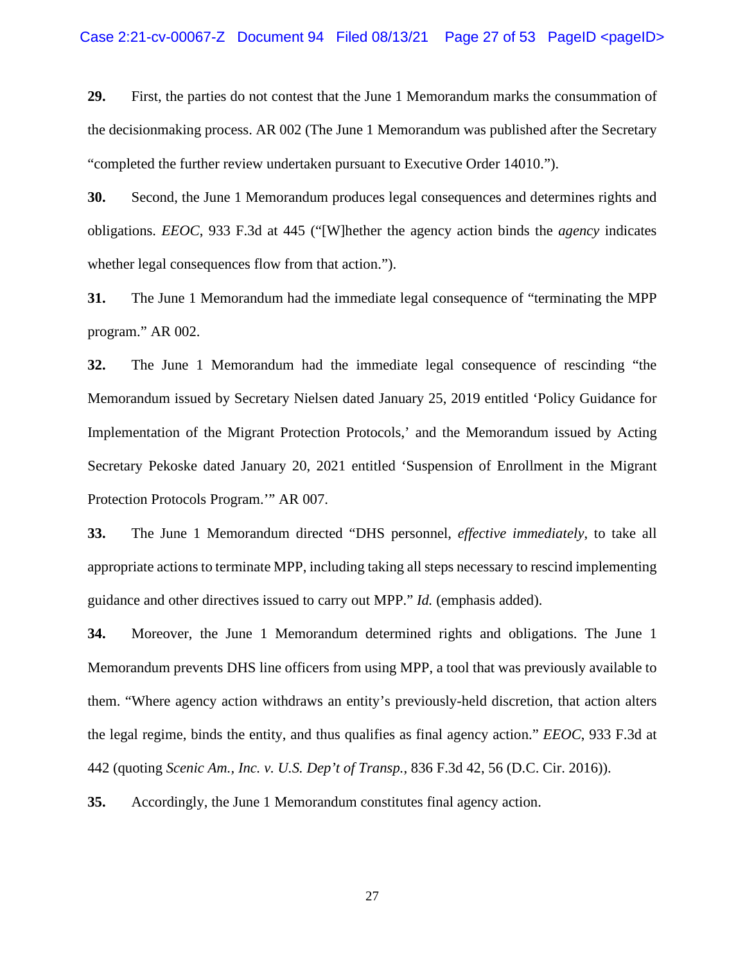**29.** First, the parties do not contest that the June 1 Memorandum marks the consummation of the decisionmaking process. AR 002 (The June 1 Memorandum was published after the Secretary "completed the further review undertaken pursuant to Executive Order 14010.").

**30.** Second, the June 1 Memorandum produces legal consequences and determines rights and obligations. *EEOC*, 933 F.3d at 445 ("[W]hether the agency action binds the *agency* indicates whether legal consequences flow from that action.").

**31.** The June 1 Memorandum had the immediate legal consequence of "terminating the MPP program." AR 002.

**32.** The June 1 Memorandum had the immediate legal consequence of rescinding "the Memorandum issued by Secretary Nielsen dated January 25, 2019 entitled 'Policy Guidance for Implementation of the Migrant Protection Protocols,' and the Memorandum issued by Acting Secretary Pekoske dated January 20, 2021 entitled 'Suspension of Enrollment in the Migrant Protection Protocols Program.'" AR 007.

**33.** The June 1 Memorandum directed "DHS personnel, *effective immediately*, to take all appropriate actions to terminate MPP, including taking all steps necessary to rescind implementing guidance and other directives issued to carry out MPP." *Id.* (emphasis added).

**34.** Moreover, the June 1 Memorandum determined rights and obligations. The June 1 Memorandum prevents DHS line officers from using MPP, a tool that was previously available to them. "Where agency action withdraws an entity's previously-held discretion, that action alters the legal regime, binds the entity, and thus qualifies as final agency action." *EEOC*, 933 F.3d at 442 (quoting *Scenic Am., Inc. v. U.S. Dep't of Transp.*, 836 F.3d 42, 56 (D.C. Cir. 2016)).

**35.** Accordingly, the June 1 Memorandum constitutes final agency action.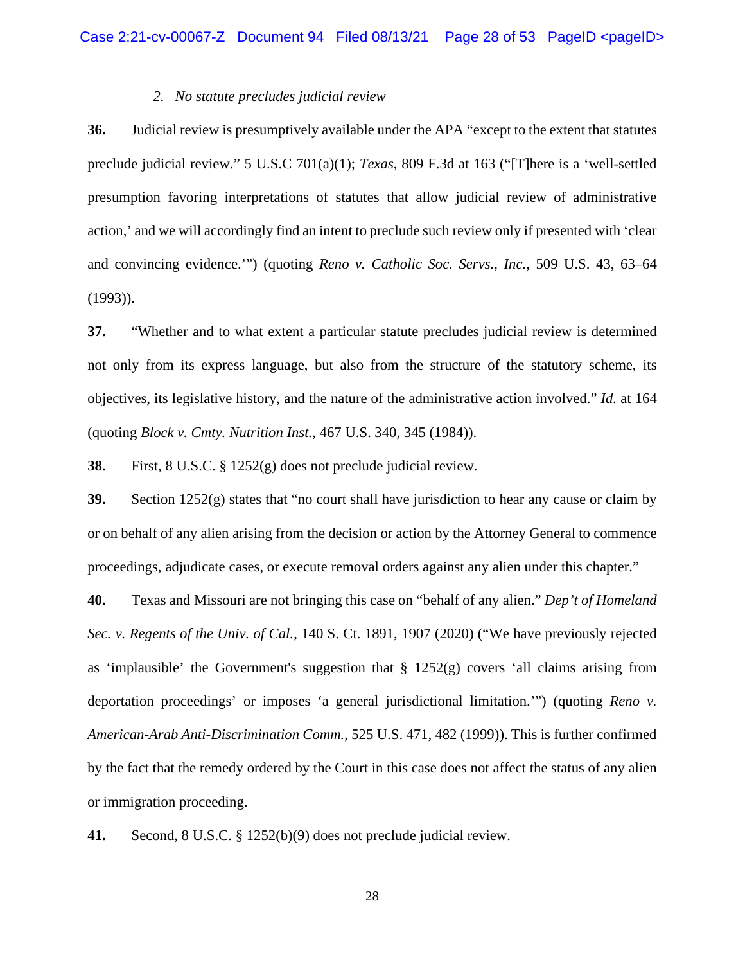## *2. No statute precludes judicial review*

**36.** Judicial review is presumptively available under the APA "except to the extent that statutes preclude judicial review." 5 U.S.C 701(a)(1); *Texas*, 809 F.3d at 163 ("[T]here is a 'well-settled presumption favoring interpretations of statutes that allow judicial review of administrative action,' and we will accordingly find an intent to preclude such review only if presented with 'clear and convincing evidence.'") (quoting *Reno v. Catholic Soc. Servs., Inc.,* 509 U.S. 43, 63–64 (1993)).

**37.** "Whether and to what extent a particular statute precludes judicial review is determined not only from its express language, but also from the structure of the statutory scheme, its objectives, its legislative history, and the nature of the administrative action involved." *Id.* at 164 (quoting *Block v. Cmty. Nutrition Inst.*, 467 U.S. 340, 345 (1984)).

**38.** First, 8 U.S.C. § 1252(g) does not preclude judicial review.

**39.** Section 1252(g) states that "no court shall have jurisdiction to hear any cause or claim by or on behalf of any alien arising from the decision or action by the Attorney General to commence proceedings, adjudicate cases, or execute removal orders against any alien under this chapter."

**40.** Texas and Missouri are not bringing this case on "behalf of any alien." *Dep't of Homeland Sec. v. Regents of the Univ. of Cal.*, 140 S. Ct. 1891, 1907 (2020) ("We have previously rejected as 'implausible' the Government's suggestion that  $\S$  1252(g) covers 'all claims arising from deportation proceedings' or imposes 'a general jurisdictional limitation.'") (quoting *Reno v. American-Arab Anti-Discrimination Comm.*, 525 U.S. 471, 482 (1999)). This is further confirmed by the fact that the remedy ordered by the Court in this case does not affect the status of any alien or immigration proceeding.

**41.** Second, 8 U.S.C. § 1252(b)(9) does not preclude judicial review.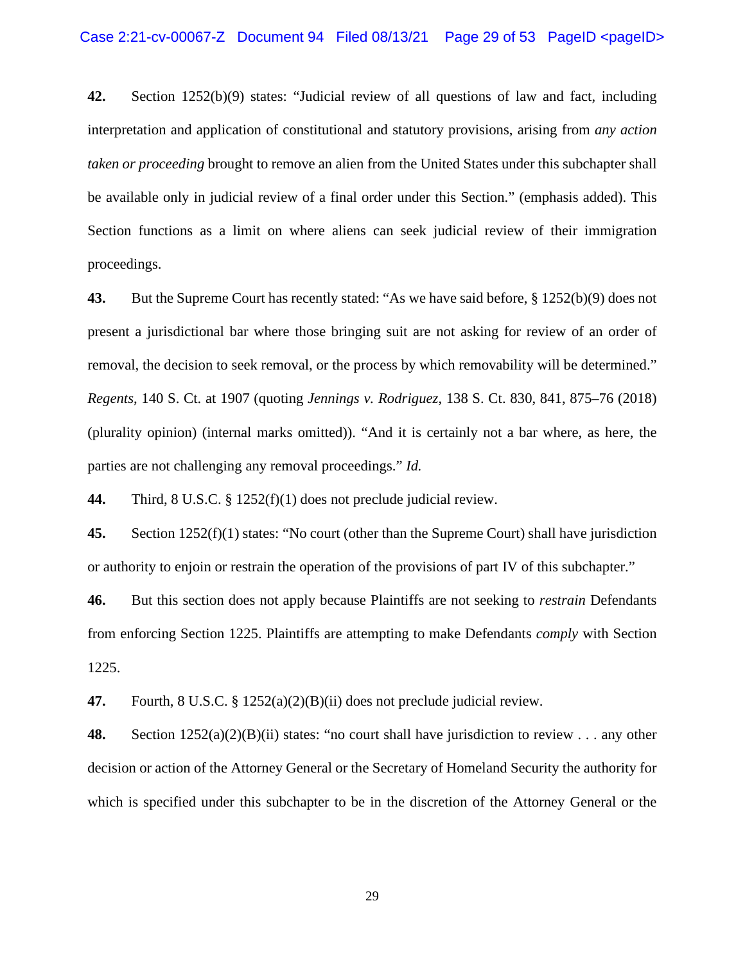**42.** Section 1252(b)(9) states: "Judicial review of all questions of law and fact, including interpretation and application of constitutional and statutory provisions, arising from *any action taken or proceeding* brought to remove an alien from the United States under this subchapter shall be available only in judicial review of a final order under this Section." (emphasis added). This Section functions as a limit on where aliens can seek judicial review of their immigration proceedings.

**43.** But the Supreme Court has recently stated: "As we have said before, § 1252(b)(9) does not present a jurisdictional bar where those bringing suit are not asking for review of an order of removal, the decision to seek removal, or the process by which removability will be determined." *Regents*, 140 S. Ct. at 1907 (quoting *Jennings v. Rodriguez*, 138 S. Ct. 830, 841, 875–76 (2018) (plurality opinion) (internal marks omitted)). "And it is certainly not a bar where, as here, the parties are not challenging any removal proceedings." *Id.* 

**44.** Third, 8 U.S.C. § 1252(f)(1) does not preclude judicial review.

**45.** Section 1252(f)(1) states: "No court (other than the Supreme Court) shall have jurisdiction or authority to enjoin or restrain the operation of the provisions of part IV of this subchapter."

**46.** But this section does not apply because Plaintiffs are not seeking to *restrain* Defendants from enforcing Section 1225. Plaintiffs are attempting to make Defendants *comply* with Section 1225.

**47.** Fourth, 8 U.S.C. § 1252(a)(2)(B)(ii) does not preclude judicial review.

**48.** Section 1252(a)(2)(B)(ii) states: "no court shall have jurisdiction to review . . . any other decision or action of the Attorney General or the Secretary of Homeland Security the authority for which is specified under this subchapter to be in the discretion of the Attorney General or the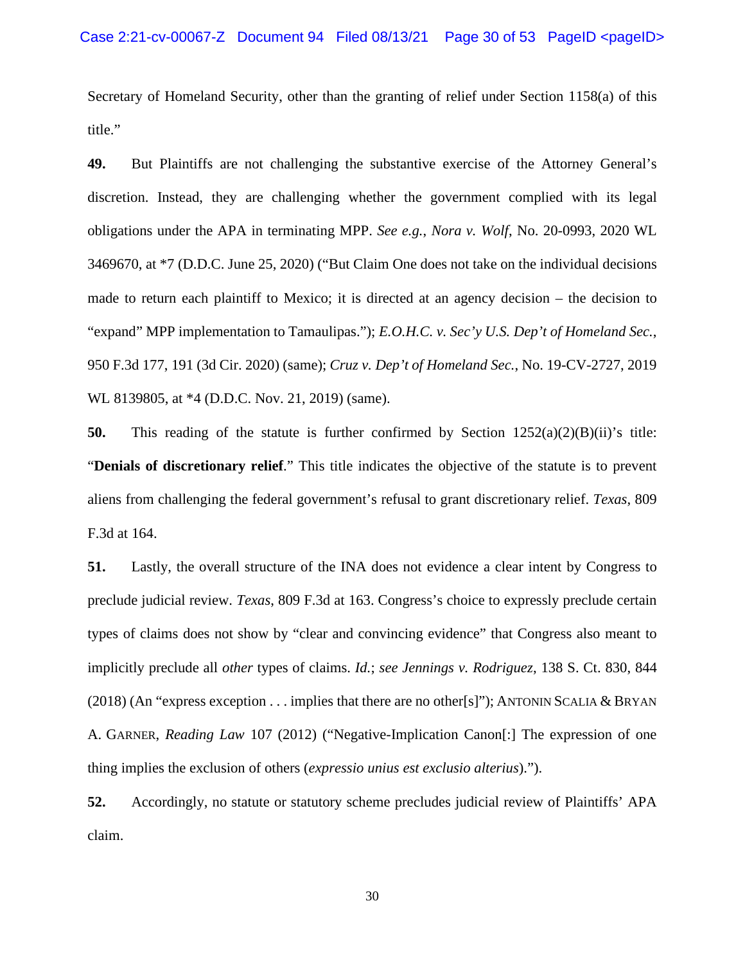Secretary of Homeland Security, other than the granting of relief under Section 1158(a) of this title."

**49.** But Plaintiffs are not challenging the substantive exercise of the Attorney General's discretion. Instead, they are challenging whether the government complied with its legal obligations under the APA in terminating MPP. *See e.g.*, *Nora v. Wolf*, No. 20-0993, 2020 WL 3469670, at \*7 (D.D.C. June 25, 2020) ("But Claim One does not take on the individual decisions made to return each plaintiff to Mexico; it is directed at an agency decision – the decision to "expand" MPP implementation to Tamaulipas."); *E.O.H.C. v. Sec'y U.S. Dep't of Homeland Sec.*, 950 F.3d 177, 191 (3d Cir. 2020) (same); *Cruz v. Dep't of Homeland Sec.*, No. 19-CV-2727, 2019 WL 8139805, at \*4 (D.D.C. Nov. 21, 2019) (same).

**50.** This reading of the statute is further confirmed by Section  $1252(a)(2)(B)(ii)$ 's title: "**Denials of discretionary relief**." This title indicates the objective of the statute is to prevent aliens from challenging the federal government's refusal to grant discretionary relief. *Texas*, 809 F.3d at 164.

**51.** Lastly, the overall structure of the INA does not evidence a clear intent by Congress to preclude judicial review. *Texas*, 809 F.3d at 163. Congress's choice to expressly preclude certain types of claims does not show by "clear and convincing evidence" that Congress also meant to implicitly preclude all *other* types of claims. *Id.*; *see Jennings v. Rodriguez*, 138 S. Ct. 830, 844  $(2018)$  (An "express exception . . . implies that there are no other[s]"); ANTONIN SCALIA & BRYAN A. GARNER, *Reading Law* 107 (2012) ("Negative-Implication Canon[:] The expression of one thing implies the exclusion of others (*expressio unius est exclusio alterius*).").

**52.** Accordingly, no statute or statutory scheme precludes judicial review of Plaintiffs' APA claim.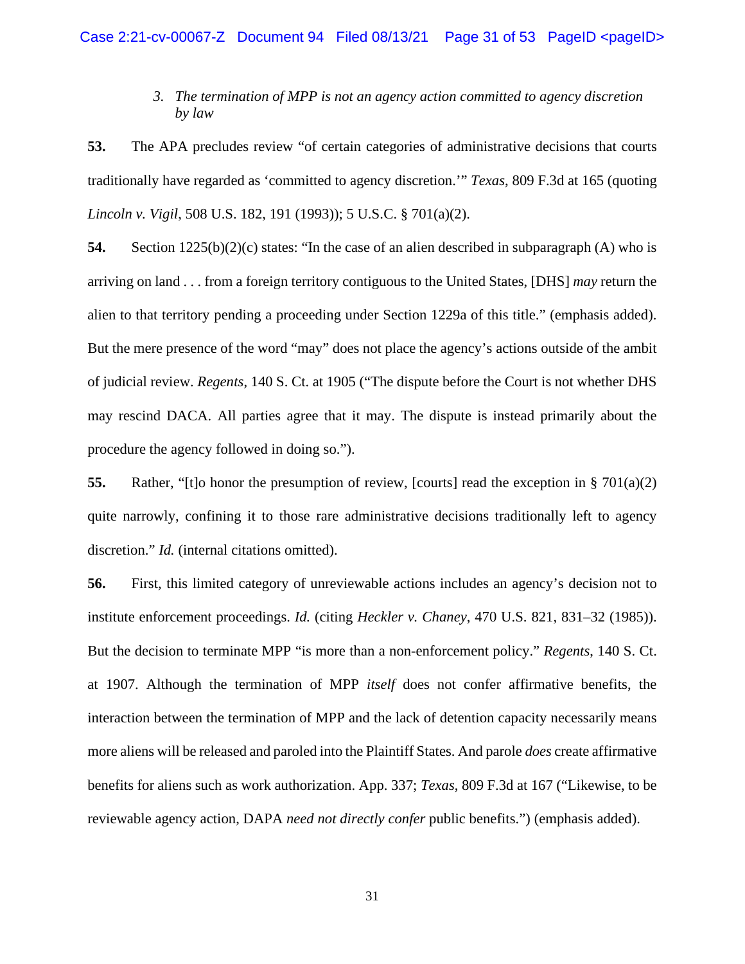# *3. The termination of MPP is not an agency action committed to agency discretion by law*

**53.** The APA precludes review "of certain categories of administrative decisions that courts traditionally have regarded as 'committed to agency discretion.'" *Texas*, 809 F.3d at 165 (quoting *Lincoln v. Vigil*, 508 U.S. 182, 191 (1993)); 5 U.S.C. § 701(a)(2).

**54.** Section 1225(b)(2)(c) states: "In the case of an alien described in subparagraph (A) who is arriving on land . . . from a foreign territory contiguous to the United States, [DHS] *may* return the alien to that territory pending a proceeding under Section 1229a of this title." (emphasis added). But the mere presence of the word "may" does not place the agency's actions outside of the ambit of judicial review. *Regents*, 140 S. Ct. at 1905 ("The dispute before the Court is not whether DHS may rescind DACA. All parties agree that it may. The dispute is instead primarily about the procedure the agency followed in doing so.").

**55.** Rather, "[t]o honor the presumption of review, [courts] read the exception in § 701(a)(2) quite narrowly, confining it to those rare administrative decisions traditionally left to agency discretion." *Id.* (internal citations omitted).

**56.** First, this limited category of unreviewable actions includes an agency's decision not to institute enforcement proceedings. *Id.* (citing *Heckler v. Chaney*, 470 U.S. 821, 831–32 (1985)). But the decision to terminate MPP "is more than a non-enforcement policy." *Regents*, 140 S. Ct. at 1907. Although the termination of MPP *itself* does not confer affirmative benefits, the interaction between the termination of MPP and the lack of detention capacity necessarily means more aliens will be released and paroled into the Plaintiff States. And parole *does* create affirmative benefits for aliens such as work authorization. App. 337; *Texas*, 809 F.3d at 167 ("Likewise, to be reviewable agency action, DAPA *need not directly confer* public benefits.") (emphasis added).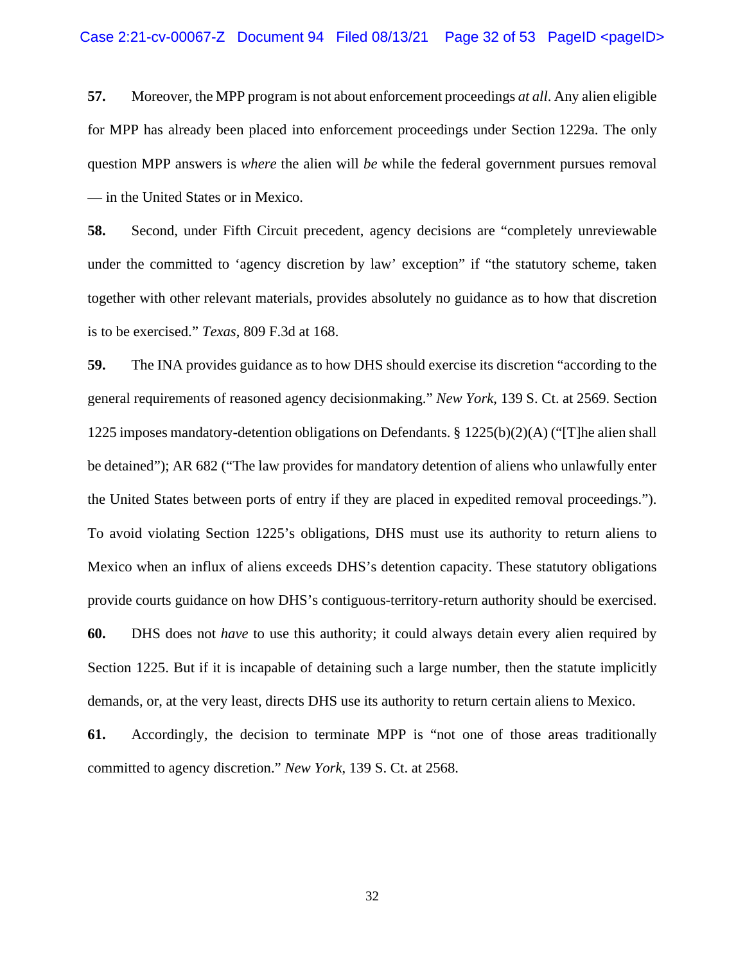**57.** Moreover, the MPP program is not about enforcement proceedings *at all*. Any alien eligible for MPP has already been placed into enforcement proceedings under Section 1229a. The only question MPP answers is *where* the alien will *be* while the federal government pursues removal — in the United States or in Mexico.

**58.** Second, under Fifth Circuit precedent, agency decisions are "completely unreviewable under the committed to 'agency discretion by law' exception" if "the statutory scheme, taken together with other relevant materials, provides absolutely no guidance as to how that discretion is to be exercised." *Texas*, 809 F.3d at 168.

**59.** The INA provides guidance as to how DHS should exercise its discretion "according to the general requirements of reasoned agency decisionmaking." *New York*, 139 S. Ct. at 2569. Section 1225 imposes mandatory-detention obligations on Defendants. § 1225(b)(2)(A) ("[T]he alien shall be detained"); AR 682 ("The law provides for mandatory detention of aliens who unlawfully enter the United States between ports of entry if they are placed in expedited removal proceedings."). To avoid violating Section 1225's obligations, DHS must use its authority to return aliens to Mexico when an influx of aliens exceeds DHS's detention capacity. These statutory obligations provide courts guidance on how DHS's contiguous-territory-return authority should be exercised. **60.** DHS does not *have* to use this authority; it could always detain every alien required by Section 1225. But if it is incapable of detaining such a large number, then the statute implicitly demands, or, at the very least, directs DHS use its authority to return certain aliens to Mexico.

**61.** Accordingly, the decision to terminate MPP is "not one of those areas traditionally committed to agency discretion." *New York*, 139 S. Ct. at 2568.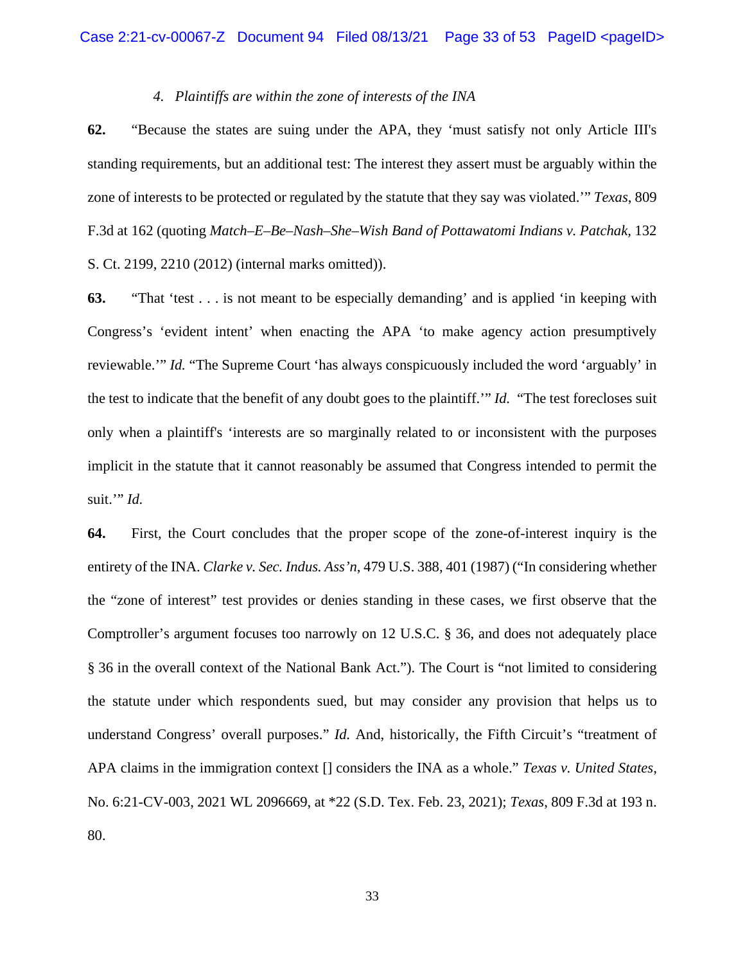## *4. Plaintiffs are within the zone of interests of the INA*

**62.** "Because the states are suing under the APA, they 'must satisfy not only Article III's standing requirements, but an additional test: The interest they assert must be arguably within the zone of interests to be protected or regulated by the statute that they say was violated.'" *Texas*, 809 F.3d at 162 (quoting *Match–E–Be–Nash–She–Wish Band of Pottawatomi Indians v. Patchak,* 132 S. Ct. 2199, 2210 (2012) (internal marks omitted)).

**63.** "That 'test . . . is not meant to be especially demanding' and is applied 'in keeping with Congress's 'evident intent' when enacting the APA 'to make agency action presumptively reviewable.'" *Id.* "The Supreme Court 'has always conspicuously included the word 'arguably' in the test to indicate that the benefit of any doubt goes to the plaintiff.'" *Id.* "The test forecloses suit only when a plaintiff's 'interests are so marginally related to or inconsistent with the purposes implicit in the statute that it cannot reasonably be assumed that Congress intended to permit the suit.'" *Id.*

**64.** First, the Court concludes that the proper scope of the zone-of-interest inquiry is the entirety of the INA. *Clarke v. Sec. Indus. Ass'n*, 479 U.S. 388, 401 (1987) ("In considering whether the "zone of interest" test provides or denies standing in these cases, we first observe that the Comptroller's argument focuses too narrowly on 12 U.S.C. § 36, and does not adequately place § 36 in the overall context of the National Bank Act."). The Court is "not limited to considering the statute under which respondents sued, but may consider any provision that helps us to understand Congress' overall purposes." *Id.* And, historically, the Fifth Circuit's "treatment of APA claims in the immigration context [] considers the INA as a whole." *Texas v. United States*, No. 6:21-CV-003, 2021 WL 2096669, at \*22 (S.D. Tex. Feb. 23, 2021); *Texas*, 809 F.3d at 193 n. 80.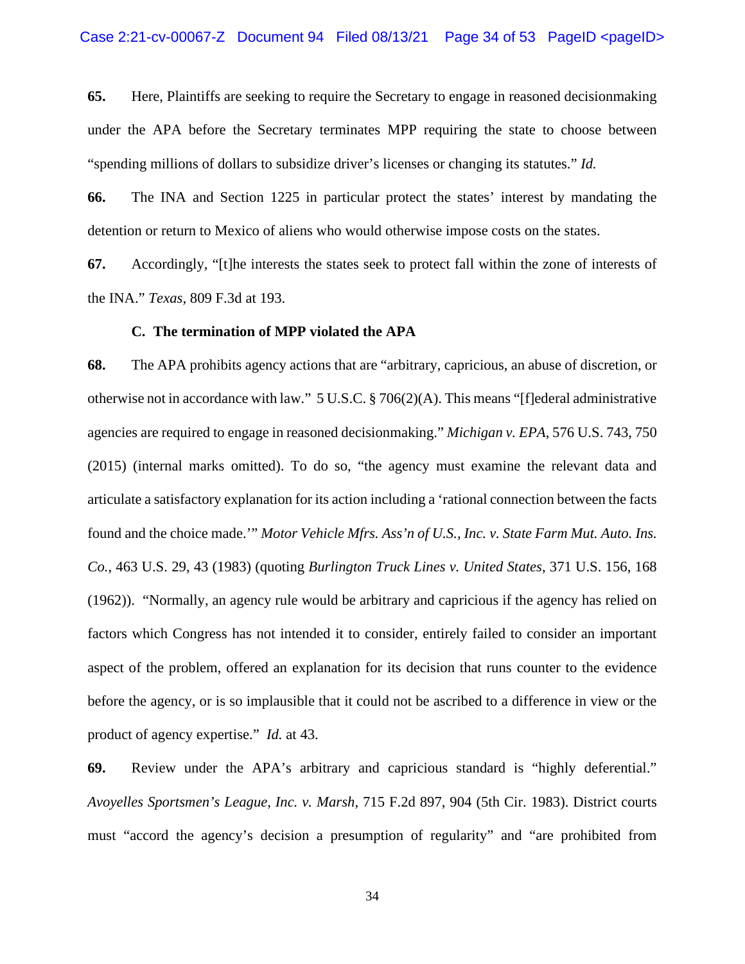**65.** Here, Plaintiffs are seeking to require the Secretary to engage in reasoned decisionmaking under the APA before the Secretary terminates MPP requiring the state to choose between "spending millions of dollars to subsidize driver's licenses or changing its statutes." *Id.*

**66.** The INA and Section 1225 in particular protect the states' interest by mandating the detention or return to Mexico of aliens who would otherwise impose costs on the states.

**67.** Accordingly, "[t]he interests the states seek to protect fall within the zone of interests of the INA." *Texas*, 809 F.3d at 193.

### **C. The termination of MPP violated the APA**

**68.** The APA prohibits agency actions that are "arbitrary, capricious, an abuse of discretion, or otherwise not in accordance with law." 5 U.S.C. § 706(2)(A). This means "[f]ederal administrative agencies are required to engage in reasoned decisionmaking." *Michigan v. EPA*, 576 U.S. 743, 750 (2015) (internal marks omitted). To do so, "the agency must examine the relevant data and articulate a satisfactory explanation for its action including a 'rational connection between the facts found and the choice made.'" *Motor Vehicle Mfrs. Ass'n of U.S., Inc. v. State Farm Mut. Auto. Ins. Co.*, 463 U.S. 29, 43 (1983) (quoting *Burlington Truck Lines v. United States*, 371 U.S. 156, 168 (1962)). "Normally, an agency rule would be arbitrary and capricious if the agency has relied on factors which Congress has not intended it to consider, entirely failed to consider an important aspect of the problem, offered an explanation for its decision that runs counter to the evidence before the agency, or is so implausible that it could not be ascribed to a difference in view or the product of agency expertise." *Id.* at 43.

**69.** Review under the APA's arbitrary and capricious standard is "highly deferential." *Avoyelles Sportsmen's League, Inc. v. Marsh*, 715 F.2d 897, 904 (5th Cir. 1983). District courts must "accord the agency's decision a presumption of regularity" and "are prohibited from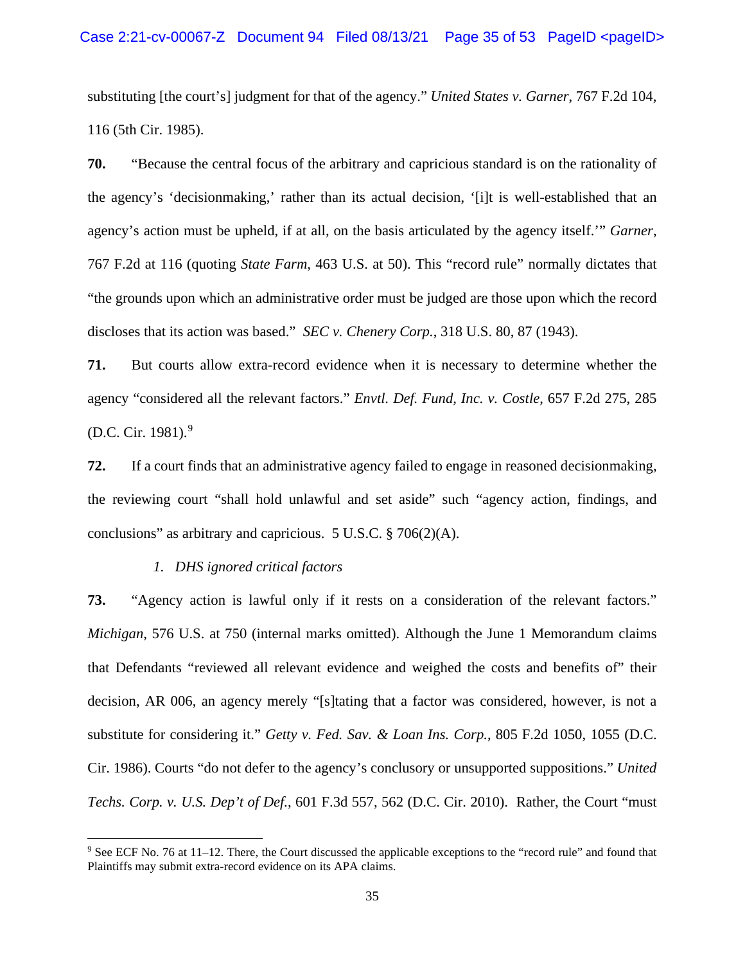substituting [the court's] judgment for that of the agency." *United States v. Garner*, 767 F.2d 104, 116 (5th Cir. 1985).

**70.** "Because the central focus of the arbitrary and capricious standard is on the rationality of the agency's 'decisionmaking,' rather than its actual decision, '[i]t is well-established that an agency's action must be upheld, if at all, on the basis articulated by the agency itself.'" *Garner*, 767 F.2d at 116 (quoting *State Farm*, 463 U.S. at 50). This "record rule" normally dictates that "the grounds upon which an administrative order must be judged are those upon which the record discloses that its action was based." *SEC v. Chenery Corp.*, 318 U.S. 80, 87 (1943).

**71.** But courts allow extra-record evidence when it is necessary to determine whether the agency "considered all the relevant factors." *Envtl. Def. Fund, Inc. v. Costle*, 657 F.2d 275, 285 (D.C. Cir. 1981).[9](#page-34-0)

**72.** If a court finds that an administrative agency failed to engage in reasoned decisionmaking, the reviewing court "shall hold unlawful and set aside" such "agency action, findings, and conclusions" as arbitrary and capricious. 5 U.S.C. § 706(2)(A).

## *1. DHS ignored critical factors*

**73.** "Agency action is lawful only if it rests on a consideration of the relevant factors." *Michigan*, 576 U.S. at 750 (internal marks omitted). Although the June 1 Memorandum claims that Defendants "reviewed all relevant evidence and weighed the costs and benefits of" their decision, AR 006, an agency merely "[s]tating that a factor was considered, however, is not a substitute for considering it." *Getty v. Fed. Sav. & Loan Ins. Corp.*, 805 F.2d 1050, 1055 (D.C. Cir. 1986). Courts "do not defer to the agency's conclusory or unsupported suppositions." *United Techs. Corp. v. U.S. Dep't of Def.*, 601 F.3d 557, 562 (D.C. Cir. 2010). Rather, the Court "must

<span id="page-34-0"></span><sup>9</sup> See ECF No. 76 at 11–12. There, the Court discussed the applicable exceptions to the "record rule" and found that Plaintiffs may submit extra-record evidence on its APA claims.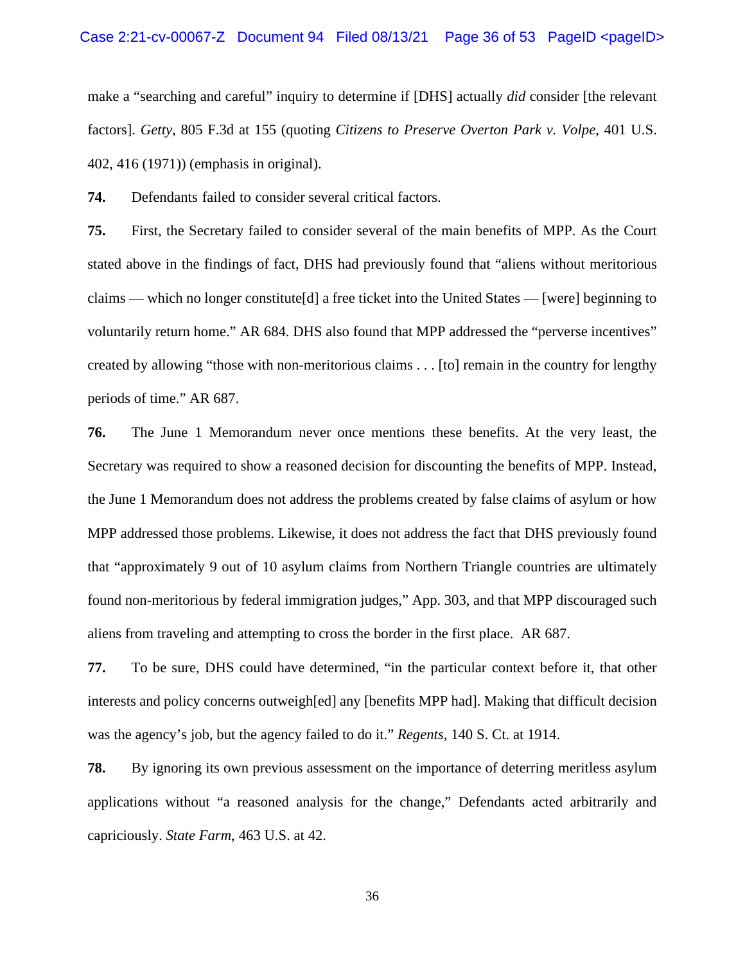make a "searching and careful" inquiry to determine if [DHS] actually *did* consider [the relevant factors]. *Getty*, 805 F.3d at 155 (quoting *Citizens to Preserve Overton Park v. Volpe*, 401 U.S. 402, 416 (1971)) (emphasis in original).

**74.** Defendants failed to consider several critical factors.

**75.** First, the Secretary failed to consider several of the main benefits of MPP. As the Court stated above in the findings of fact, DHS had previously found that "aliens without meritorious claims — which no longer constitute [d] a free ticket into the United States — [were] beginning to voluntarily return home." AR 684. DHS also found that MPP addressed the "perverse incentives" created by allowing "those with non-meritorious claims . . . [to] remain in the country for lengthy periods of time." AR 687.

**76.** The June 1 Memorandum never once mentions these benefits. At the very least, the Secretary was required to show a reasoned decision for discounting the benefits of MPP. Instead, the June 1 Memorandum does not address the problems created by false claims of asylum or how MPP addressed those problems. Likewise, it does not address the fact that DHS previously found that "approximately 9 out of 10 asylum claims from Northern Triangle countries are ultimately found non-meritorious by federal immigration judges," App. 303, and that MPP discouraged such aliens from traveling and attempting to cross the border in the first place. AR 687.

**77.** To be sure, DHS could have determined, "in the particular context before it, that other interests and policy concerns outweigh[ed] any [benefits MPP had]. Making that difficult decision was the agency's job, but the agency failed to do it." *Regents*, 140 S. Ct. at 1914.

**78.** By ignoring its own previous assessment on the importance of deterring meritless asylum applications without "a reasoned analysis for the change," Defendants acted arbitrarily and capriciously. *State Farm*, 463 U.S. at 42.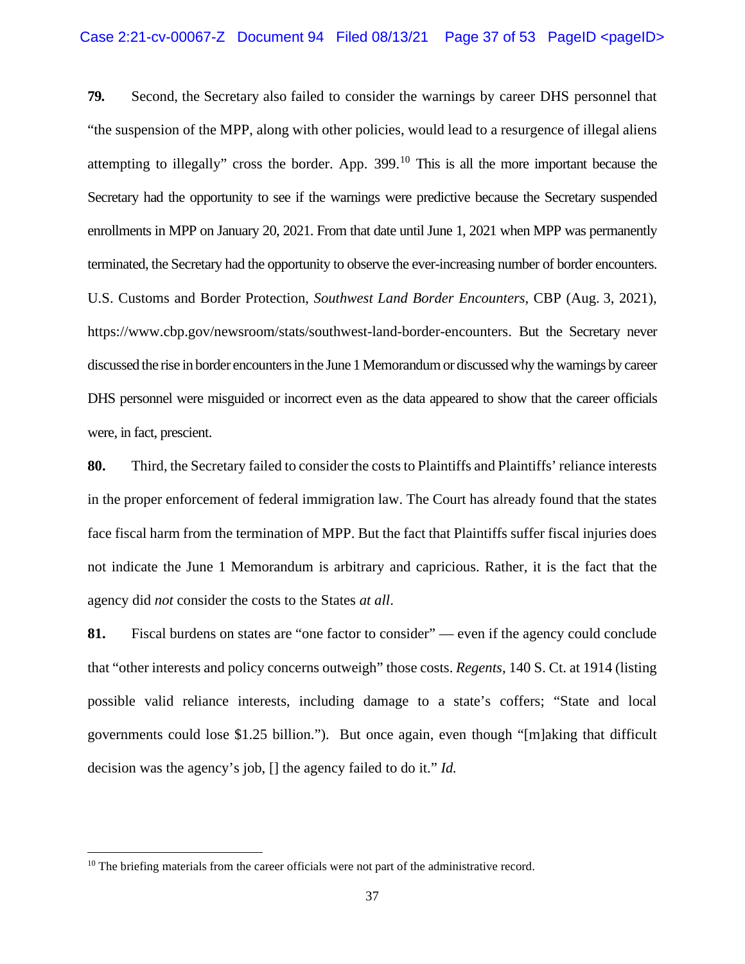**79.** Second, the Secretary also failed to consider the warnings by career DHS personnel that "the suspension of the MPP, along with other policies, would lead to a resurgence of illegal aliens attempting to illegally" cross the border. App.  $399$ .<sup>[10](#page-36-0)</sup> This is all the more important because the Secretary had the opportunity to see if the warnings were predictive because the Secretary suspended enrollments in MPP on January 20, 2021. From that date until June 1, 2021 when MPP was permanently terminated, the Secretary had the opportunity to observe the ever-increasing number of border encounters. U.S. Customs and Border Protection, *Southwest Land Border Encounters*, CBP (Aug. 3, 2021), https://www.cbp.gov/newsroom/stats/southwest-land-border-encounters. But the Secretary never discussed the rise in border encounters in the June 1 Memorandum or discussed why the warnings by career DHS personnel were misguided or incorrect even as the data appeared to show that the career officials were, in fact, prescient.

**80.** Third, the Secretary failed to consider the costs to Plaintiffs and Plaintiffs' reliance interests in the proper enforcement of federal immigration law. The Court has already found that the states face fiscal harm from the termination of MPP. But the fact that Plaintiffs suffer fiscal injuries does not indicate the June 1 Memorandum is arbitrary and capricious. Rather, it is the fact that the agency did *not* consider the costs to the States *at all*.

**81.** Fiscal burdens on states are "one factor to consider" — even if the agency could conclude that "other interests and policy concerns outweigh" those costs. *Regents*, 140 S. Ct. at 1914 (listing possible valid reliance interests, including damage to a state's coffers; "State and local governments could lose \$1.25 billion."). But once again, even though "[m]aking that difficult decision was the agency's job, [] the agency failed to do it." *Id.* 

<span id="page-36-0"></span> $10$  The briefing materials from the career officials were not part of the administrative record.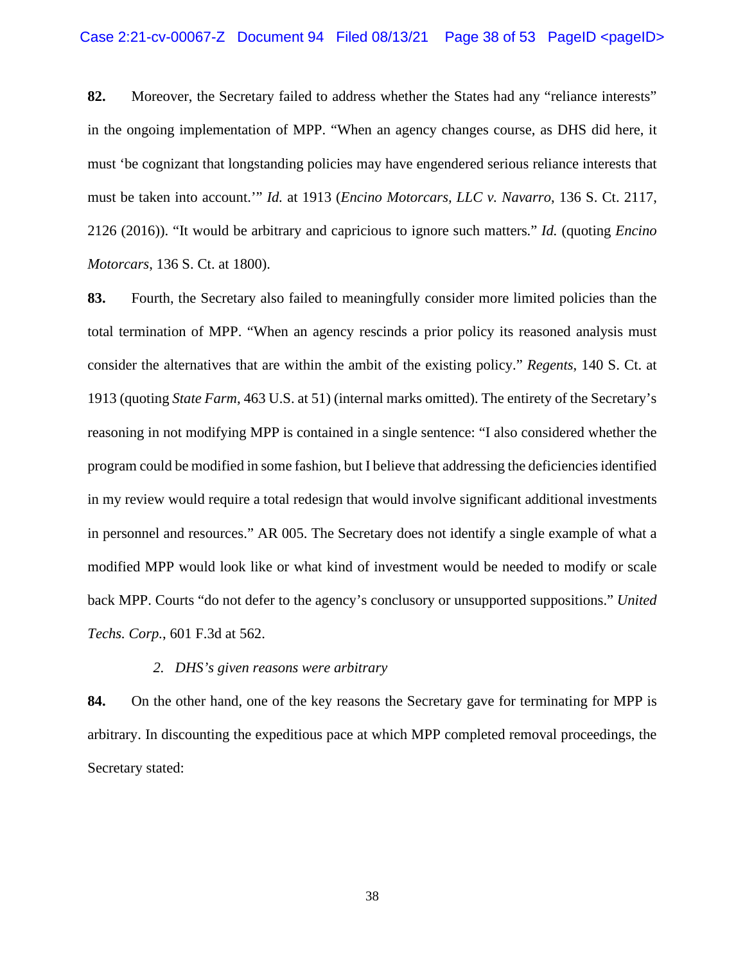**82.** Moreover, the Secretary failed to address whether the States had any "reliance interests" in the ongoing implementation of MPP. "When an agency changes course, as DHS did here, it must 'be cognizant that longstanding policies may have engendered serious reliance interests that must be taken into account.'" *Id.* at 1913 (*Encino Motorcars, LLC v. Navarro*, 136 S. Ct. 2117, 2126 (2016)). "It would be arbitrary and capricious to ignore such matters." *Id.* (quoting *Encino Motorcars*, 136 S. Ct. at 1800).

**83.** Fourth, the Secretary also failed to meaningfully consider more limited policies than the total termination of MPP. "When an agency rescinds a prior policy its reasoned analysis must consider the alternatives that are within the ambit of the existing policy." *Regents*, 140 S. Ct. at 1913 (quoting *State Farm*, 463 U.S. at 51) (internal marks omitted). The entirety of the Secretary's reasoning in not modifying MPP is contained in a single sentence: "I also considered whether the program could be modified in some fashion, but I believe that addressing the deficiencies identified in my review would require a total redesign that would involve significant additional investments in personnel and resources." AR 005. The Secretary does not identify a single example of what a modified MPP would look like or what kind of investment would be needed to modify or scale back MPP. Courts "do not defer to the agency's conclusory or unsupported suppositions." *United Techs. Corp.*, 601 F.3d at 562.

## *2. DHS's given reasons were arbitrary*

**84.** On the other hand, one of the key reasons the Secretary gave for terminating for MPP is arbitrary. In discounting the expeditious pace at which MPP completed removal proceedings, the Secretary stated: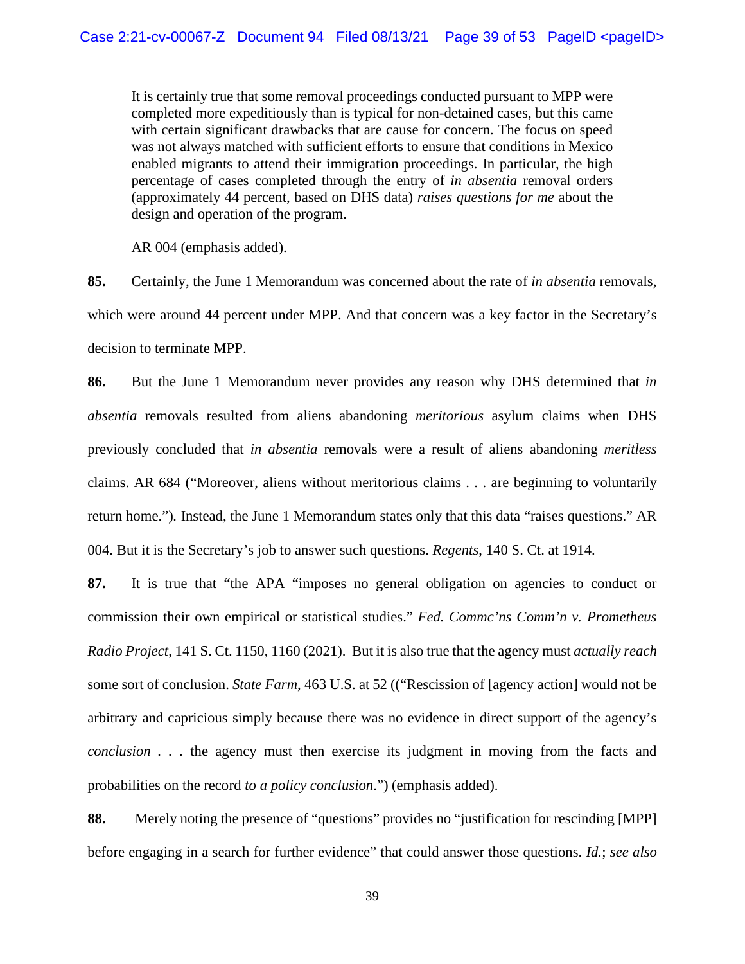It is certainly true that some removal proceedings conducted pursuant to MPP were completed more expeditiously than is typical for non-detained cases, but this came with certain significant drawbacks that are cause for concern. The focus on speed was not always matched with sufficient efforts to ensure that conditions in Mexico enabled migrants to attend their immigration proceedings. In particular, the high percentage of cases completed through the entry of *in absentia* removal orders (approximately 44 percent, based on DHS data) *raises questions for me* about the design and operation of the program.

AR 004 (emphasis added).

**85.** Certainly, the June 1 Memorandum was concerned about the rate of *in absentia* removals, which were around 44 percent under MPP. And that concern was a key factor in the Secretary's decision to terminate MPP.

**86.** But the June 1 Memorandum never provides any reason why DHS determined that *in absentia* removals resulted from aliens abandoning *meritorious* asylum claims when DHS previously concluded that *in absentia* removals were a result of aliens abandoning *meritless*  claims. AR 684 ("Moreover, aliens without meritorious claims . . . are beginning to voluntarily return home.")*.* Instead, the June 1 Memorandum states only that this data "raises questions." AR 004. But it is the Secretary's job to answer such questions. *Regents*, 140 S. Ct. at 1914.

**87.** It is true that "the APA "imposes no general obligation on agencies to conduct or commission their own empirical or statistical studies." *Fed. Commc'ns Comm'n v. Prometheus Radio Project*, 141 S. Ct. 1150, 1160 (2021). But it is also true that the agency must *actually reach* some sort of conclusion. *State Farm*, 463 U.S. at 52 (("Rescission of [agency action] would not be arbitrary and capricious simply because there was no evidence in direct support of the agency's *conclusion . . .* the agency must then exercise its judgment in moving from the facts and probabilities on the record *to a policy conclusion*.") (emphasis added).

**88.** Merely noting the presence of "questions" provides no "justification for rescinding [MPP] before engaging in a search for further evidence" that could answer those questions. *Id.*; *see also*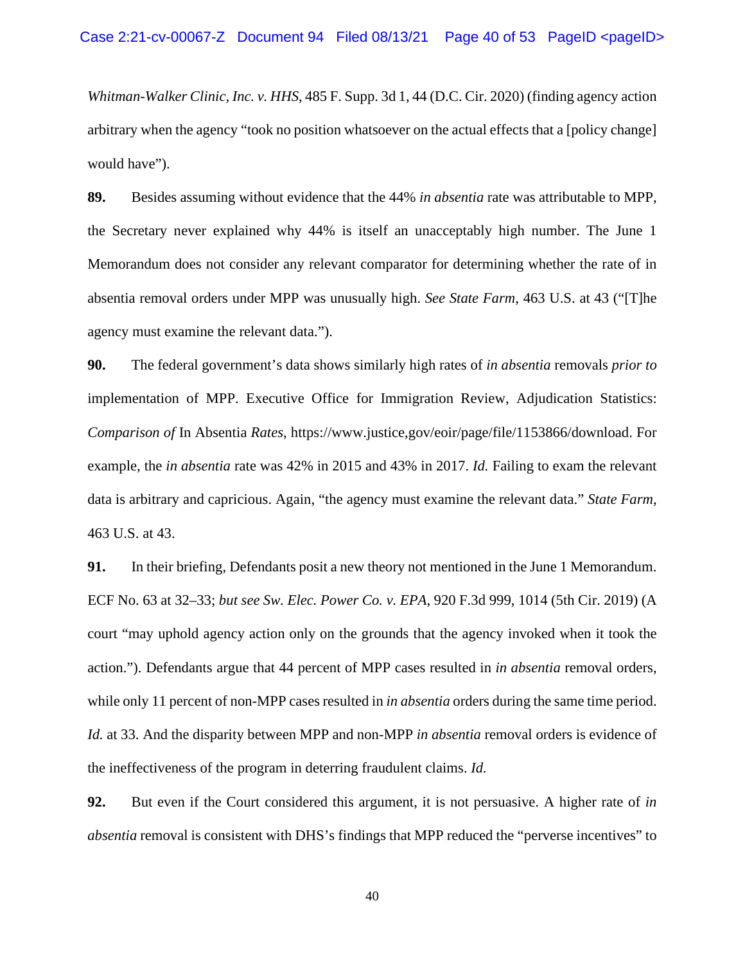*Whitman-Walker Clinic, Inc. v. HHS*, 485 F. Supp. 3d 1, 44 (D.C. Cir. 2020) (finding agency action arbitrary when the agency "took no position whatsoever on the actual effects that a [policy change] would have").

**89.** Besides assuming without evidence that the 44% *in absentia* rate was attributable to MPP, the Secretary never explained why 44% is itself an unacceptably high number. The June 1 Memorandum does not consider any relevant comparator for determining whether the rate of in absentia removal orders under MPP was unusually high. *See State Farm*, 463 U.S. at 43 ("[T]he agency must examine the relevant data.").

**90.** The federal government's data shows similarly high rates of *in absentia* removals *prior to* implementation of MPP. Executive Office for Immigration Review, Adjudication Statistics: *Comparison of* In Absentia *Rates*, https://www.justice,gov/eoir/page/file/1153866/download. For example, the *in absentia* rate was 42% in 2015 and 43% in 2017. *Id.* Failing to exam the relevant data is arbitrary and capricious. Again, "the agency must examine the relevant data." *State Farm*, 463 U.S. at 43.

**91.** In their briefing, Defendants posit a new theory not mentioned in the June 1 Memorandum. ECF No. 63 at 32–33; *but see Sw. Elec. Power Co. v. EPA*, 920 F.3d 999, 1014 (5th Cir. 2019) (A court "may uphold agency action only on the grounds that the agency invoked when it took the action."). Defendants argue that 44 percent of MPP cases resulted in *in absentia* removal orders, while only 11 percent of non-MPP cases resulted in *in absentia* orders during the same time period. *Id.* at 33. And the disparity between MPP and non-MPP *in absentia* removal orders is evidence of the ineffectiveness of the program in deterring fraudulent claims. *Id.* 

**92.** But even if the Court considered this argument, it is not persuasive. A higher rate of *in absentia* removal is consistent with DHS's findings that MPP reduced the "perverse incentives" to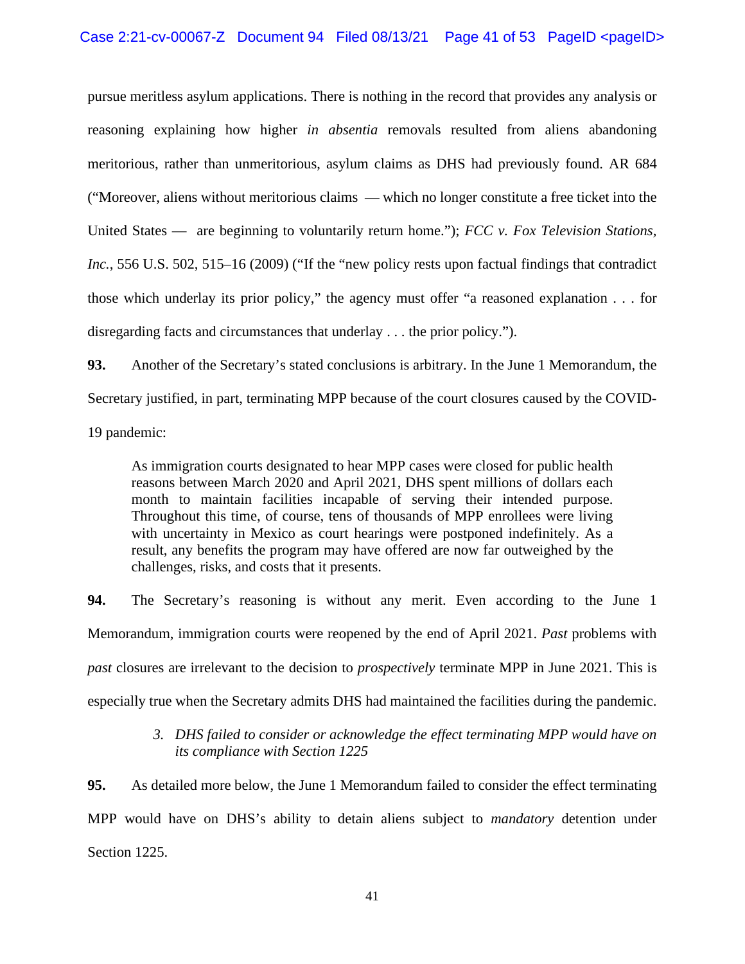## Case 2:21-cv-00067-Z Document 94 Filed  $08/13/21$  Page 41 of 53 PageID <pageID>

pursue meritless asylum applications. There is nothing in the record that provides any analysis or reasoning explaining how higher *in absentia* removals resulted from aliens abandoning meritorious, rather than unmeritorious, asylum claims as DHS had previously found. AR 684 ("Moreover, aliens without meritorious claims — which no longer constitute a free ticket into the United States — are beginning to voluntarily return home."); *FCC v. Fox Television Stations, Inc.*, 556 U.S. 502, 515–16 (2009) ("If the "new policy rests upon factual findings that contradict those which underlay its prior policy," the agency must offer "a reasoned explanation . . . for disregarding facts and circumstances that underlay . . . the prior policy.").

**93.** Another of the Secretary's stated conclusions is arbitrary. In the June 1 Memorandum, the Secretary justified, in part, terminating MPP because of the court closures caused by the COVID-19 pandemic:

As immigration courts designated to hear MPP cases were closed for public health reasons between March 2020 and April 2021, DHS spent millions of dollars each month to maintain facilities incapable of serving their intended purpose. Throughout this time, of course, tens of thousands of MPP enrollees were living with uncertainty in Mexico as court hearings were postponed indefinitely. As a result, any benefits the program may have offered are now far outweighed by the challenges, risks, and costs that it presents.

**94.** The Secretary's reasoning is without any merit. Even according to the June 1 Memorandum, immigration courts were reopened by the end of April 2021. *Past* problems with *past* closures are irrelevant to the decision to *prospectively* terminate MPP in June 2021. This is especially true when the Secretary admits DHS had maintained the facilities during the pandemic.

## *3. DHS failed to consider or acknowledge the effect terminating MPP would have on its compliance with Section 1225*

**95.** As detailed more below, the June 1 Memorandum failed to consider the effect terminating MPP would have on DHS's ability to detain aliens subject to *mandatory* detention under Section 1225.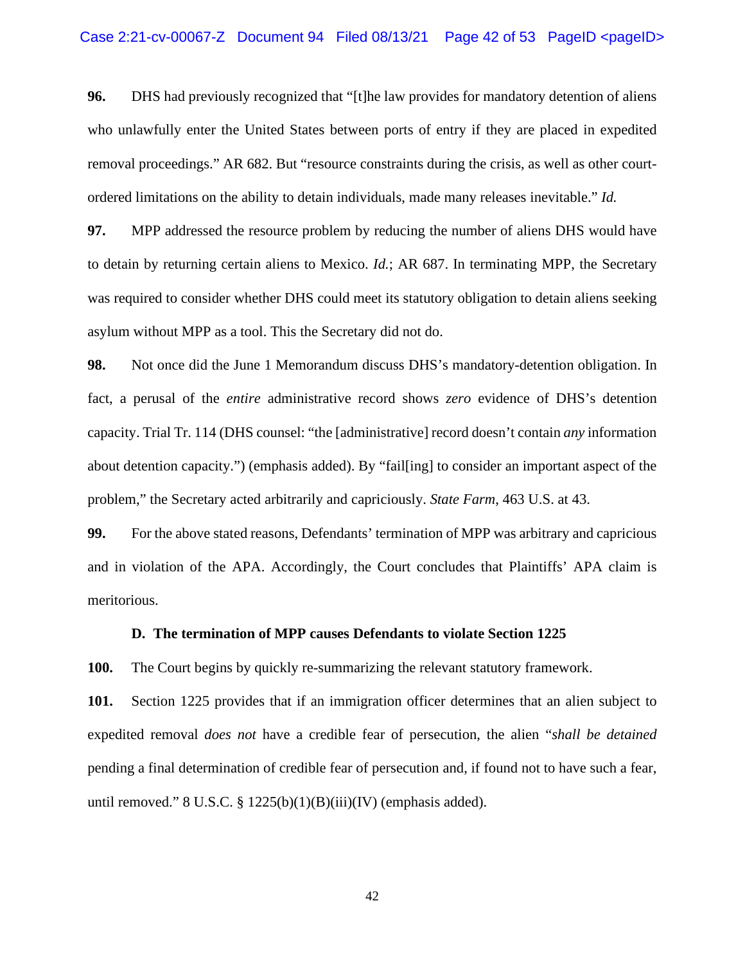**96.** DHS had previously recognized that "[t]he law provides for mandatory detention of aliens who unlawfully enter the United States between ports of entry if they are placed in expedited removal proceedings." AR 682. But "resource constraints during the crisis, as well as other courtordered limitations on the ability to detain individuals, made many releases inevitable." *Id.*

**97.** MPP addressed the resource problem by reducing the number of aliens DHS would have to detain by returning certain aliens to Mexico. *Id.*; AR 687. In terminating MPP, the Secretary was required to consider whether DHS could meet its statutory obligation to detain aliens seeking asylum without MPP as a tool. This the Secretary did not do.

**98.** Not once did the June 1 Memorandum discuss DHS's mandatory-detention obligation. In fact, a perusal of the *entire* administrative record shows *zero* evidence of DHS's detention capacity. Trial Tr. 114 (DHS counsel: "the [administrative] record doesn't contain *any* information about detention capacity.") (emphasis added). By "fail[ing] to consider an important aspect of the problem," the Secretary acted arbitrarily and capriciously. *State Farm*, 463 U.S. at 43.

**99.** For the above stated reasons, Defendants' termination of MPP was arbitrary and capricious and in violation of the APA. Accordingly, the Court concludes that Plaintiffs' APA claim is meritorious.

### **D. The termination of MPP causes Defendants to violate Section 1225**

**100.** The Court begins by quickly re-summarizing the relevant statutory framework.

**101.** Section 1225 provides that if an immigration officer determines that an alien subject to expedited removal *does not* have a credible fear of persecution, the alien "*shall be detained* pending a final determination of credible fear of persecution and, if found not to have such a fear, until removed."  $8 \text{ U.S.C. } §$  1225(b)(1)(B)(iii)(IV) (emphasis added).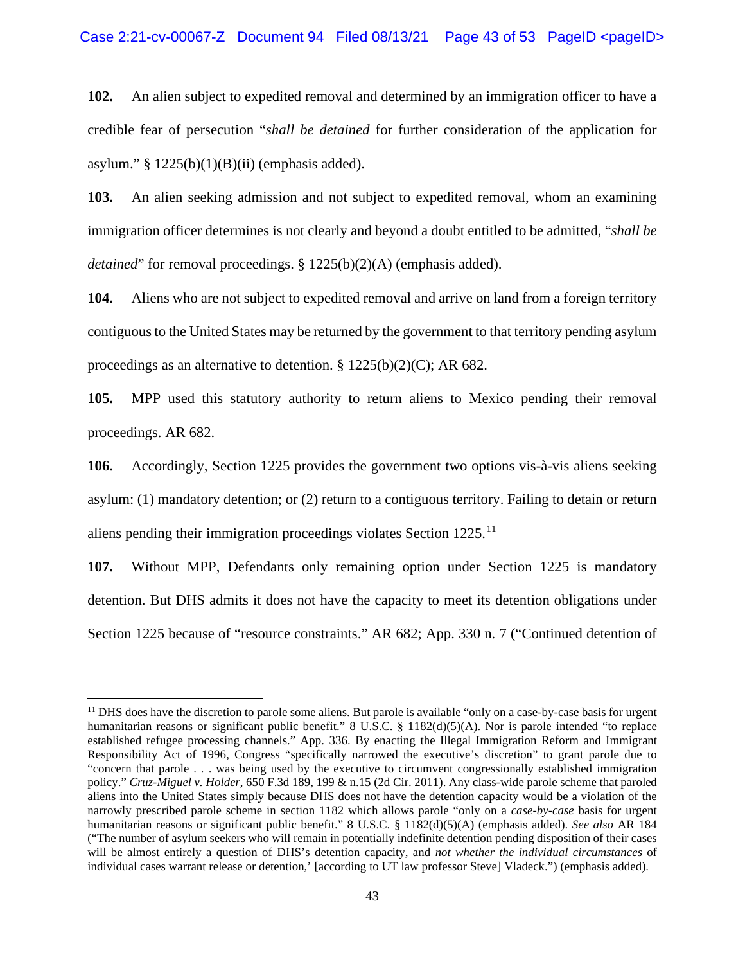**102.** An alien subject to expedited removal and determined by an immigration officer to have a credible fear of persecution "*shall be detained* for further consideration of the application for asylum."  $§ 1225(b)(1)(B)(ii)$  (emphasis added).

**103.** An alien seeking admission and not subject to expedited removal, whom an examining immigration officer determines is not clearly and beyond a doubt entitled to be admitted, "*shall be detained*" for removal proceedings. § 1225(b)(2)(A) (emphasis added).

**104.** Aliens who are not subject to expedited removal and arrive on land from a foreign territory contiguous to the United States may be returned by the government to that territory pending asylum proceedings as an alternative to detention. § 1225(b)(2)(C); AR 682.

**105.** MPP used this statutory authority to return aliens to Mexico pending their removal proceedings. AR 682.

**106.** Accordingly, Section 1225 provides the government two options vis-à-vis aliens seeking asylum: (1) mandatory detention; or (2) return to a contiguous territory. Failing to detain or return aliens pending their immigration proceedings violates Section 1225.<sup>[11](#page-42-0)</sup>

**107.** Without MPP, Defendants only remaining option under Section 1225 is mandatory detention. But DHS admits it does not have the capacity to meet its detention obligations under Section 1225 because of "resource constraints." AR 682; App. 330 n. 7 ("Continued detention of

<span id="page-42-0"></span> $<sup>11</sup>$  DHS does have the discretion to parole some aliens. But parole is available "only on a case-by-case basis for urgent</sup> humanitarian reasons or significant public benefit." 8 U.S.C. § 1182(d)(5)(A). Nor is parole intended "to replace established refugee processing channels." App. 336. By enacting the Illegal Immigration Reform and Immigrant Responsibility Act of 1996, Congress "specifically narrowed the executive's discretion" to grant parole due to "concern that parole . . . was being used by the executive to circumvent congressionally established immigration policy." *Cruz-Miguel v. Holder*, 650 F.3d 189, 199 & n.15 (2d Cir. 2011). Any class-wide parole scheme that paroled aliens into the United States simply because DHS does not have the detention capacity would be a violation of the narrowly prescribed parole scheme in section 1182 which allows parole "only on a *case-by-case* basis for urgent humanitarian reasons or significant public benefit." 8 U.S.C. § 1182(d)(5)(A) (emphasis added). *See also* AR 184 ("The number of asylum seekers who will remain in potentially indefinite detention pending disposition of their cases will be almost entirely a question of DHS's detention capacity, and *not whether the individual circumstances* of individual cases warrant release or detention,' [according to UT law professor Steve] Vladeck.") (emphasis added).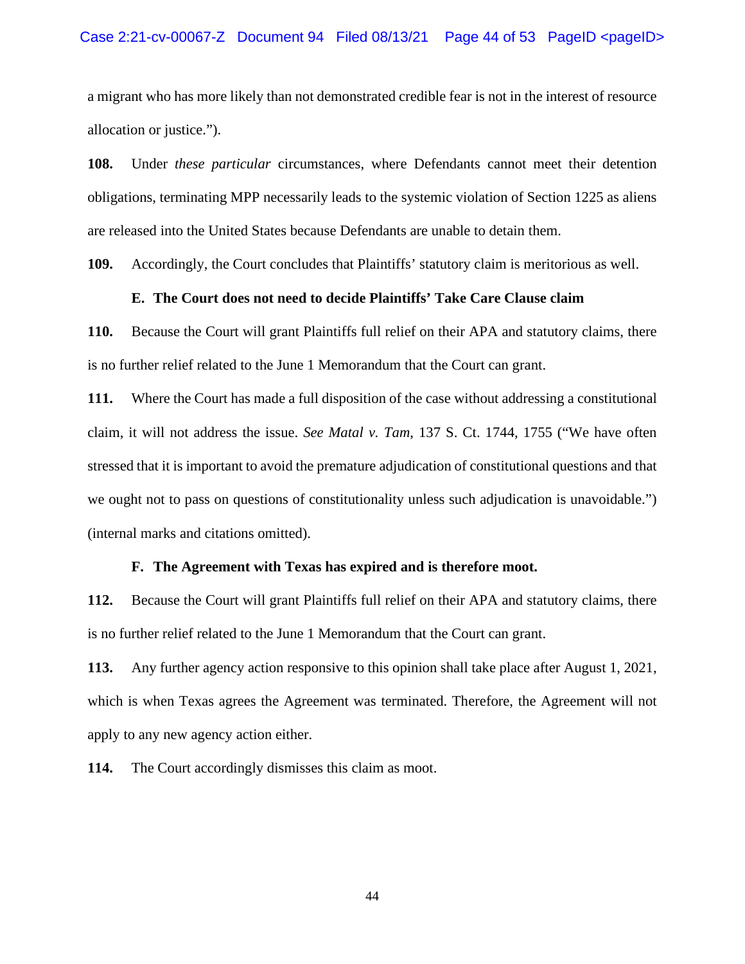a migrant who has more likely than not demonstrated credible fear is not in the interest of resource allocation or justice.").

**108.** Under *these particular* circumstances, where Defendants cannot meet their detention obligations, terminating MPP necessarily leads to the systemic violation of Section 1225 as aliens are released into the United States because Defendants are unable to detain them.

**109.** Accordingly, the Court concludes that Plaintiffs' statutory claim is meritorious as well.

## **E. The Court does not need to decide Plaintiffs' Take Care Clause claim**

**110.** Because the Court will grant Plaintiffs full relief on their APA and statutory claims, there is no further relief related to the June 1 Memorandum that the Court can grant.

**111.** Where the Court has made a full disposition of the case without addressing a constitutional claim, it will not address the issue. *See Matal v. Tam*, 137 S. Ct. 1744, 1755 ("We have often stressed that it is important to avoid the premature adjudication of constitutional questions and that we ought not to pass on questions of constitutionality unless such adjudication is unavoidable.") (internal marks and citations omitted).

### **F. The Agreement with Texas has expired and is therefore moot.**

**112.** Because the Court will grant Plaintiffs full relief on their APA and statutory claims, there is no further relief related to the June 1 Memorandum that the Court can grant.

**113.** Any further agency action responsive to this opinion shall take place after August 1, 2021, which is when Texas agrees the Agreement was terminated. Therefore, the Agreement will not apply to any new agency action either.

**114.** The Court accordingly dismisses this claim as moot.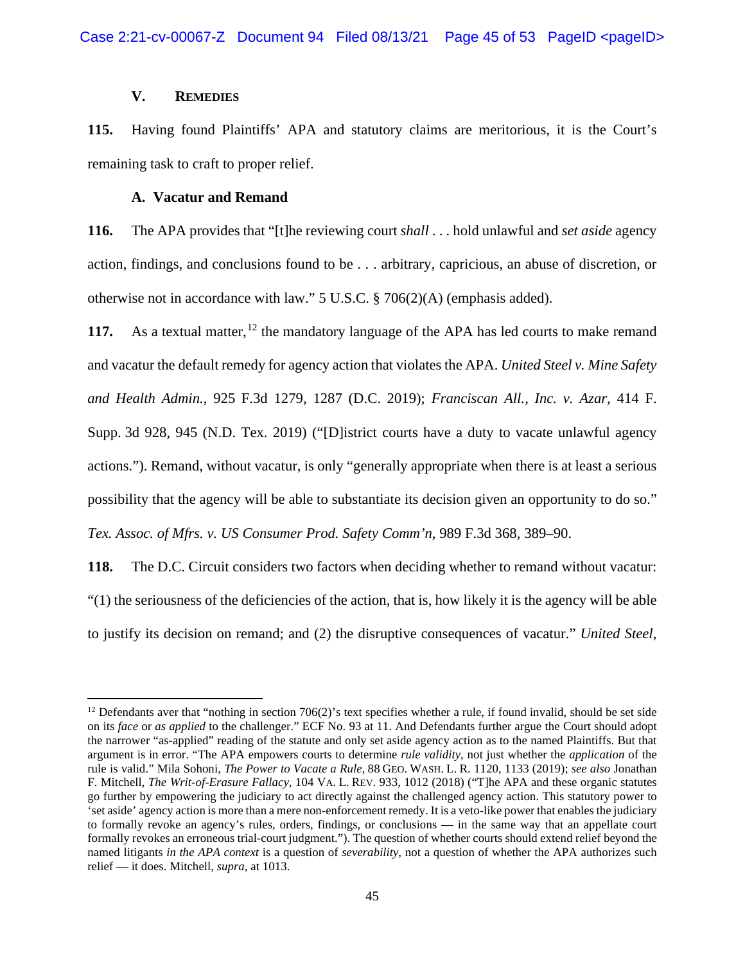## **V. REMEDIES**

**115.** Having found Plaintiffs' APA and statutory claims are meritorious, it is the Court's remaining task to craft to proper relief.

## **A. Vacatur and Remand**

**116.** The APA provides that "[t]he reviewing court *shall* . . . hold unlawful and *set aside* agency action, findings, and conclusions found to be . . . arbitrary, capricious, an abuse of discretion, or otherwise not in accordance with law." 5 U.S.C. § 706(2)(A) (emphasis added).

**117.** As a textual matter, <sup>[12](#page-44-0)</sup> the mandatory language of the APA has led courts to make remand and vacatur the default remedy for agency action that violates the APA. *United Steel v. Mine Safety and Health Admin.*, 925 F.3d 1279, 1287 (D.C. 2019); *Franciscan All., Inc. v. Azar*, 414 F. Supp. 3d 928, 945 (N.D. Tex. 2019) ("[D]istrict courts have a duty to vacate unlawful agency actions."). Remand, without vacatur, is only "generally appropriate when there is at least a serious possibility that the agency will be able to substantiate its decision given an opportunity to do so." *Tex. Assoc. of Mfrs. v. US Consumer Prod. Safety Comm'n*, 989 F.3d 368, 389–90.

**118.** The D.C. Circuit considers two factors when deciding whether to remand without vacatur: "(1) the seriousness of the deficiencies of the action, that is, how likely it is the agency will be able to justify its decision on remand; and (2) the disruptive consequences of vacatur." *United Steel*,

<span id="page-44-0"></span><sup>&</sup>lt;sup>12</sup> Defendants aver that "nothing in section 706(2)'s text specifies whether a rule, if found invalid, should be set side on its *face* or *as applied* to the challenger." ECF No. 93 at 11. And Defendants further argue the Court should adopt the narrower "as-applied" reading of the statute and only set aside agency action as to the named Plaintiffs. But that argument is in error. "The APA empowers courts to determine *rule validity*, not just whether the *application* of the rule is valid." Mila Sohoni, *The Power to Vacate a Rule*, 88 GEO. WASH. L. R. 1120, 1133 (2019); *see also* Jonathan F. Mitchell, *The Writ-of-Erasure Fallacy*, 104 VA. L. REV. 933, 1012 (2018) ("T]he APA and these organic statutes go further by empowering the judiciary to act directly against the challenged agency action. This statutory power to 'set aside' agency action is more than a mere non-enforcement remedy. It is a veto-like power that enables the judiciary to formally revoke an agency's rules, orders, findings, or conclusions — in the same way that an appellate court formally revokes an erroneous trial-court judgment."). The question of whether courts should extend relief beyond the named litigants *in the APA context* is a question of *severability*, not a question of whether the APA authorizes such relief — it does. Mitchell, *supra*, at 1013.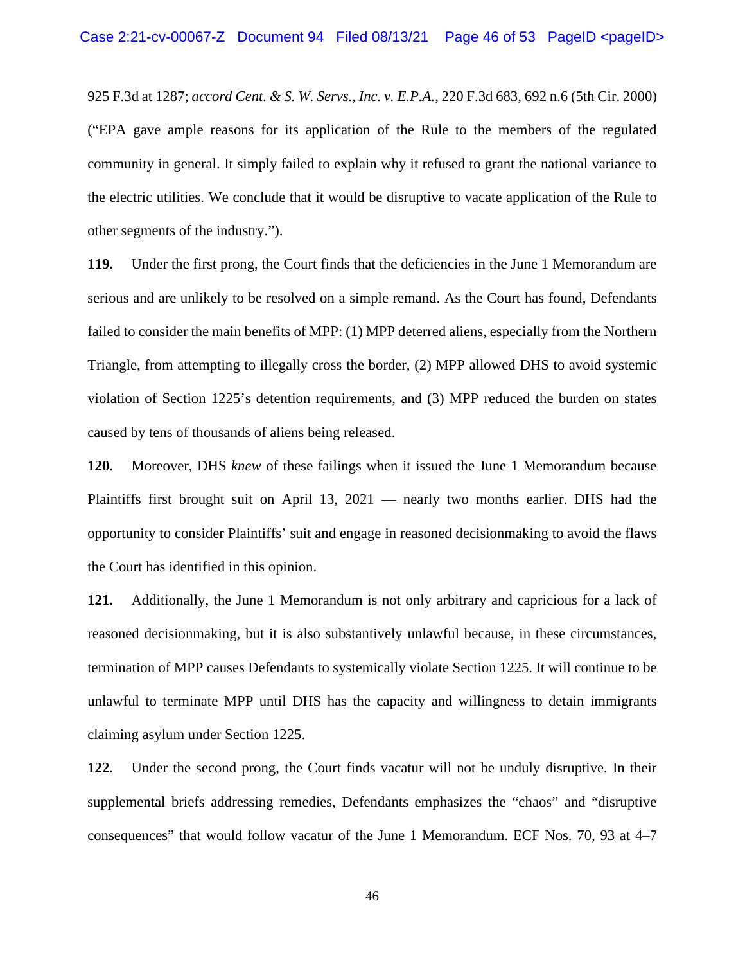925 F.3d at 1287; *accord Cent. & S. W. Servs., Inc. v. E.P.A.*, 220 F.3d 683, 692 n.6 (5th Cir. 2000) ("EPA gave ample reasons for its application of the Rule to the members of the regulated community in general. It simply failed to explain why it refused to grant the national variance to the electric utilities. We conclude that it would be disruptive to vacate application of the Rule to other segments of the industry.").

**119.** Under the first prong, the Court finds that the deficiencies in the June 1 Memorandum are serious and are unlikely to be resolved on a simple remand. As the Court has found, Defendants failed to consider the main benefits of MPP: (1) MPP deterred aliens, especially from the Northern Triangle, from attempting to illegally cross the border, (2) MPP allowed DHS to avoid systemic violation of Section 1225's detention requirements, and (3) MPP reduced the burden on states caused by tens of thousands of aliens being released.

**120.** Moreover, DHS *knew* of these failings when it issued the June 1 Memorandum because Plaintiffs first brought suit on April 13, 2021 — nearly two months earlier. DHS had the opportunity to consider Plaintiffs' suit and engage in reasoned decisionmaking to avoid the flaws the Court has identified in this opinion.

**121.** Additionally, the June 1 Memorandum is not only arbitrary and capricious for a lack of reasoned decisionmaking, but it is also substantively unlawful because, in these circumstances, termination of MPP causes Defendants to systemically violate Section 1225. It will continue to be unlawful to terminate MPP until DHS has the capacity and willingness to detain immigrants claiming asylum under Section 1225.

**122.** Under the second prong, the Court finds vacatur will not be unduly disruptive. In their supplemental briefs addressing remedies, Defendants emphasizes the "chaos" and "disruptive consequences" that would follow vacatur of the June 1 Memorandum. ECF Nos. 70, 93 at 4–7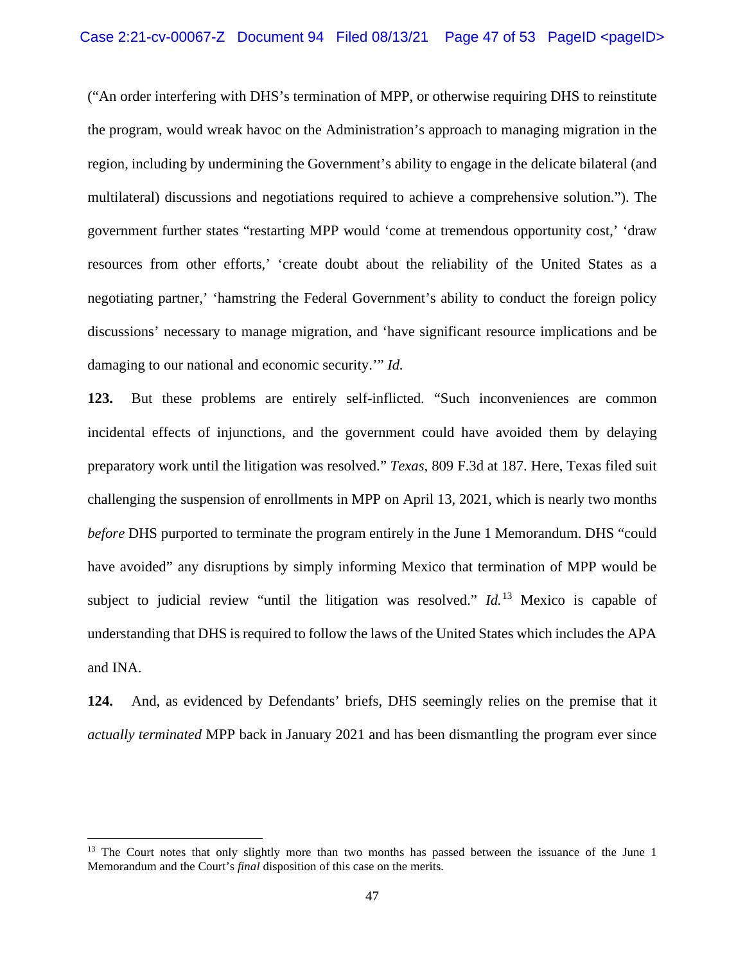("An order interfering with DHS's termination of MPP, or otherwise requiring DHS to reinstitute the program, would wreak havoc on the Administration's approach to managing migration in the region, including by undermining the Government's ability to engage in the delicate bilateral (and multilateral) discussions and negotiations required to achieve a comprehensive solution."). The government further states "restarting MPP would 'come at tremendous opportunity cost,' 'draw resources from other efforts,' 'create doubt about the reliability of the United States as a negotiating partner,' 'hamstring the Federal Government's ability to conduct the foreign policy discussions' necessary to manage migration, and 'have significant resource implications and be damaging to our national and economic security.'" *Id.* 

**123.** But these problems are entirely self-inflicted. "Such inconveniences are common incidental effects of injunctions, and the government could have avoided them by delaying preparatory work until the litigation was resolved." *Texas*, 809 F.3d at 187. Here, Texas filed suit challenging the suspension of enrollments in MPP on April 13, 2021, which is nearly two months *before* DHS purported to terminate the program entirely in the June 1 Memorandum. DHS "could have avoided" any disruptions by simply informing Mexico that termination of MPP would be subject to judicial review "until the litigation was resolved." *Id.*[13](#page-46-0) Mexico is capable of understanding that DHS is required to follow the laws of the United States which includes the APA and INA.

**124.** And, as evidenced by Defendants' briefs, DHS seemingly relies on the premise that it *actually terminated* MPP back in January 2021 and has been dismantling the program ever since

<span id="page-46-0"></span><sup>&</sup>lt;sup>13</sup> The Court notes that only slightly more than two months has passed between the issuance of the June 1 Memorandum and the Court's *final* disposition of this case on the merits.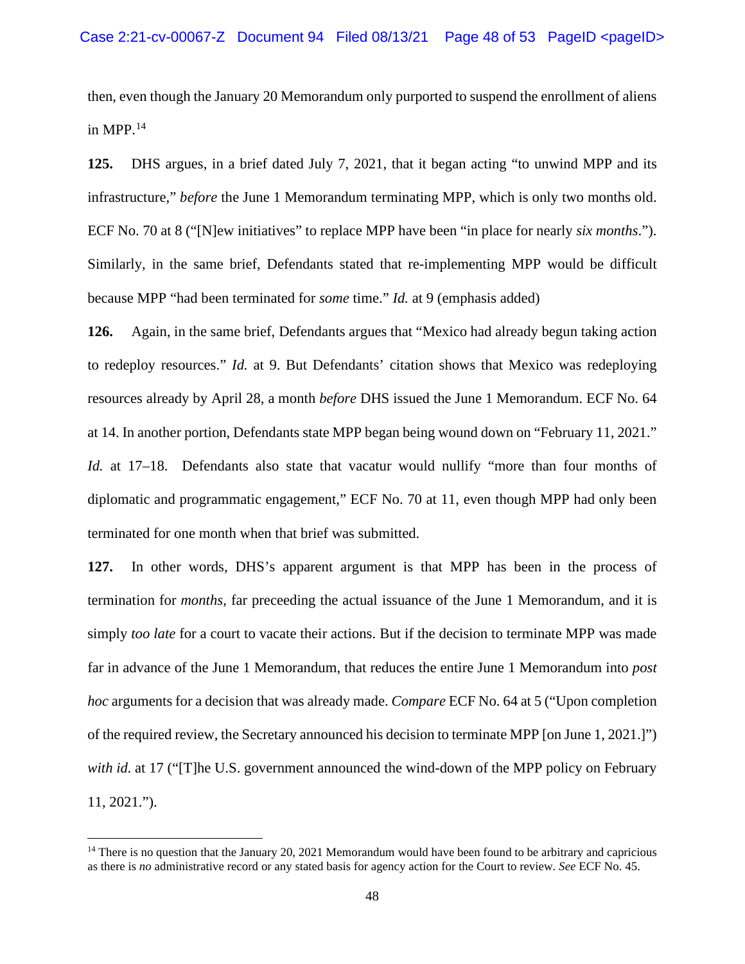then, even though the January 20 Memorandum only purported to suspend the enrollment of aliens in MPP. $^{14}$  $^{14}$  $^{14}$ 

**125.** DHS argues, in a brief dated July 7, 2021, that it began acting "to unwind MPP and its infrastructure," *before* the June 1 Memorandum terminating MPP, which is only two months old. ECF No. 70 at 8 ("[N]ew initiatives" to replace MPP have been "in place for nearly *six months*."). Similarly, in the same brief, Defendants stated that re-implementing MPP would be difficult because MPP "had been terminated for *some* time." *Id.* at 9 (emphasis added)

**126.** Again, in the same brief, Defendants argues that "Mexico had already begun taking action to redeploy resources." *Id.* at 9. But Defendants' citation shows that Mexico was redeploying resources already by April 28, a month *before* DHS issued the June 1 Memorandum. ECF No. 64 at 14. In another portion, Defendants state MPP began being wound down on "February 11, 2021." *Id.* at 17–18. Defendants also state that vacatur would nullify "more than four months of diplomatic and programmatic engagement," ECF No. 70 at 11, even though MPP had only been terminated for one month when that brief was submitted.

**127.** In other words, DHS's apparent argument is that MPP has been in the process of termination for *months*, far preceeding the actual issuance of the June 1 Memorandum, and it is simply *too late* for a court to vacate their actions. But if the decision to terminate MPP was made far in advance of the June 1 Memorandum, that reduces the entire June 1 Memorandum into *post hoc* arguments for a decision that was already made. *Compare* ECF No. 64 at 5 ("Upon completion of the required review, the Secretary announced his decision to terminate MPP [on June 1, 2021.]") *with id.* at 17 ("[T]he U.S. government announced the wind-down of the MPP policy on February 11, 2021.").

<span id="page-47-0"></span> $14$  There is no question that the January 20, 2021 Memorandum would have been found to be arbitrary and capricious as there is *no* administrative record or any stated basis for agency action for the Court to review. *See* ECF No. 45.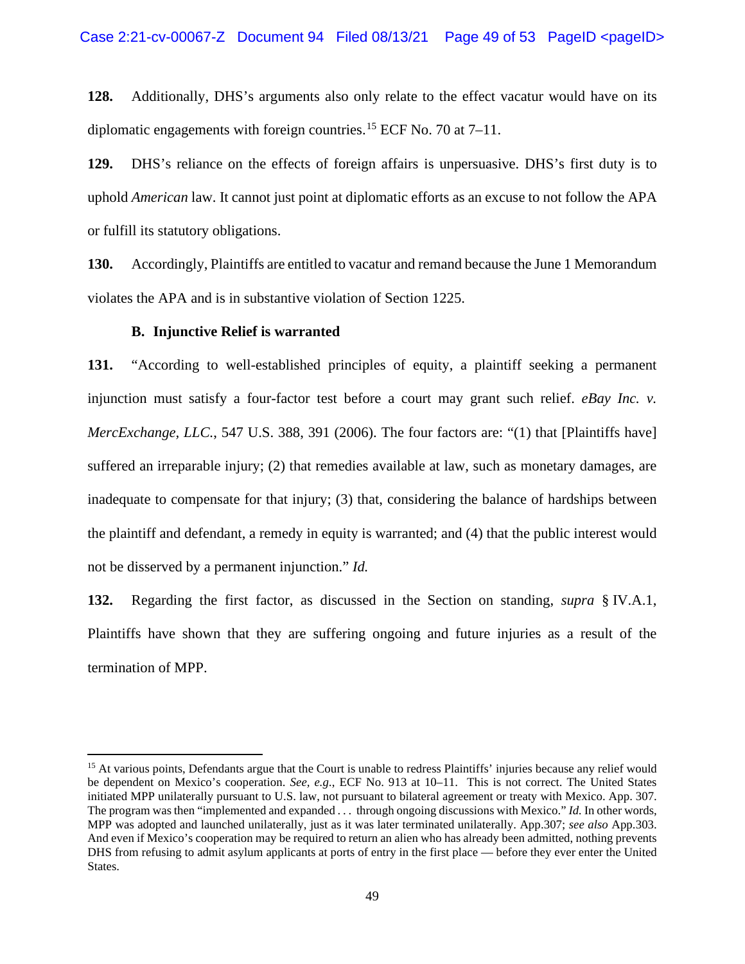**128.** Additionally, DHS's arguments also only relate to the effect vacatur would have on its diplomatic engagements with foreign countries.<sup>[15](#page-48-0)</sup> ECF No. 70 at  $7-11$ .

**129.** DHS's reliance on the effects of foreign affairs is unpersuasive. DHS's first duty is to uphold *American* law. It cannot just point at diplomatic efforts as an excuse to not follow the APA or fulfill its statutory obligations.

**130.** Accordingly, Plaintiffs are entitled to vacatur and remand because the June 1 Memorandum violates the APA and is in substantive violation of Section 1225.

#### **B. Injunctive Relief is warranted**

**131.** "According to well-established principles of equity, a plaintiff seeking a permanent injunction must satisfy a four-factor test before a court may grant such relief. *eBay Inc. v. MercExchange, LLC.*, 547 U.S. 388, 391 (2006). The four factors are: "(1) that [Plaintiffs have] suffered an irreparable injury; (2) that remedies available at law, such as monetary damages, are inadequate to compensate for that injury; (3) that, considering the balance of hardships between the plaintiff and defendant, a remedy in equity is warranted; and (4) that the public interest would not be disserved by a permanent injunction." *Id.*

**132.** Regarding the first factor, as discussed in the Section on standing, *supra* § IV.A.1, Plaintiffs have shown that they are suffering ongoing and future injuries as a result of the termination of MPP.

<span id="page-48-0"></span><sup>&</sup>lt;sup>15</sup> At various points, Defendants argue that the Court is unable to redress Plaintiffs' injuries because any relief would be dependent on Mexico's cooperation. *See, e.g.*, ECF No. 913 at 10–11. This is not correct. The United States initiated MPP unilaterally pursuant to U.S. law, not pursuant to bilateral agreement or treaty with Mexico. App. 307. The program was then "implemented and expanded . . . through ongoing discussions with Mexico." *Id.* In other words, MPP was adopted and launched unilaterally, just as it was later terminated unilaterally. App.307; *see also* App.303. And even if Mexico's cooperation may be required to return an alien who has already been admitted, nothing prevents DHS from refusing to admit asylum applicants at ports of entry in the first place — before they ever enter the United States.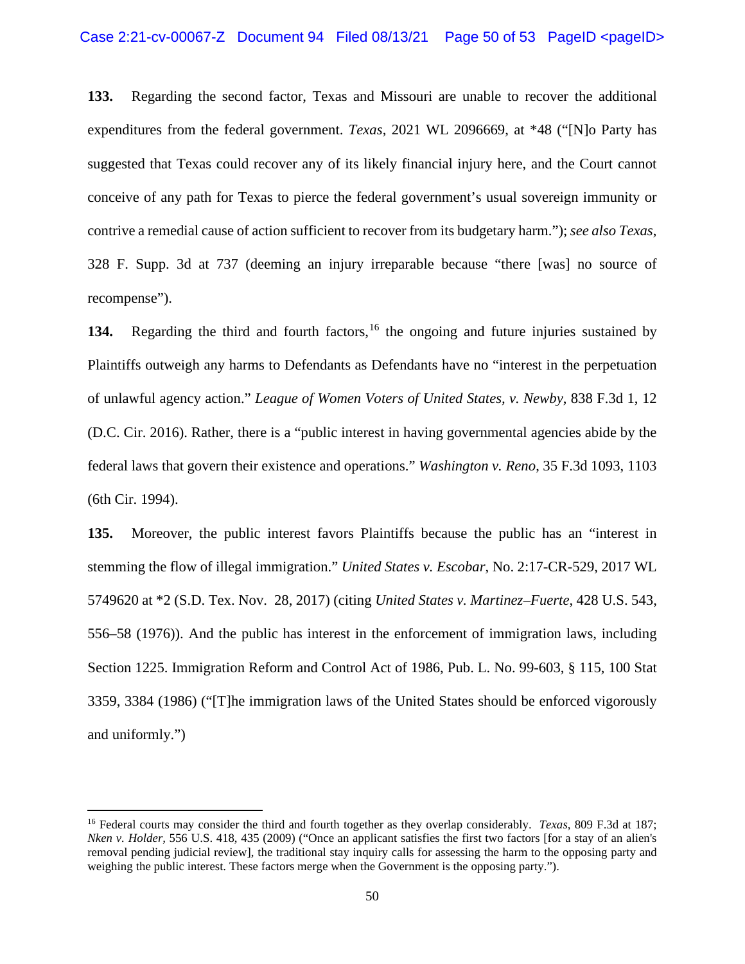**133.** Regarding the second factor, Texas and Missouri are unable to recover the additional expenditures from the federal government. *Texas*, 2021 WL 2096669, at \*48 ("[N]o Party has suggested that Texas could recover any of its likely financial injury here, and the Court cannot conceive of any path for Texas to pierce the federal government's usual sovereign immunity or contrive a remedial cause of action sufficient to recover from its budgetary harm."); *see also Texas*, 328 F. Supp. 3d at 737 (deeming an injury irreparable because "there [was] no source of recompense").

134. Regarding the third and fourth factors, <sup>[16](#page-49-0)</sup> the ongoing and future injuries sustained by Plaintiffs outweigh any harms to Defendants as Defendants have no "interest in the perpetuation of unlawful agency action." *League of Women Voters of United States, v. Newby*, 838 F.3d 1, 12 (D.C. Cir. 2016). Rather, there is a "public interest in having governmental agencies abide by the federal laws that govern their existence and operations." *Washington v. Reno*, 35 F.3d 1093, 1103 (6th Cir. 1994).

**135.** Moreover, the public interest favors Plaintiffs because the public has an "interest in stemming the flow of illegal immigration." *United States v. Escobar*, No. 2:17-CR-529, 2017 WL 5749620 at \*2 (S.D. Tex. Nov. 28, 2017) (citing *United States v. Martinez–Fuerte*, 428 U.S. 543, 556–58 (1976)). And the public has interest in the enforcement of immigration laws, including Section 1225. Immigration Reform and Control Act of 1986, Pub. L. No. 99-603, § 115, 100 Stat 3359, 3384 (1986) ("[T]he immigration laws of the United States should be enforced vigorously and uniformly.")

<span id="page-49-0"></span><sup>16</sup> Federal courts may consider the third and fourth together as they overlap considerably. *Texas*, 809 F.3d at 187; *Nken v. Holder,* 556 U.S. 418, 435 (2009) ("Once an applicant satisfies the first two factors [for a stay of an alien's removal pending judicial review], the traditional stay inquiry calls for assessing the harm to the opposing party and weighing the public interest. These factors merge when the Government is the opposing party.").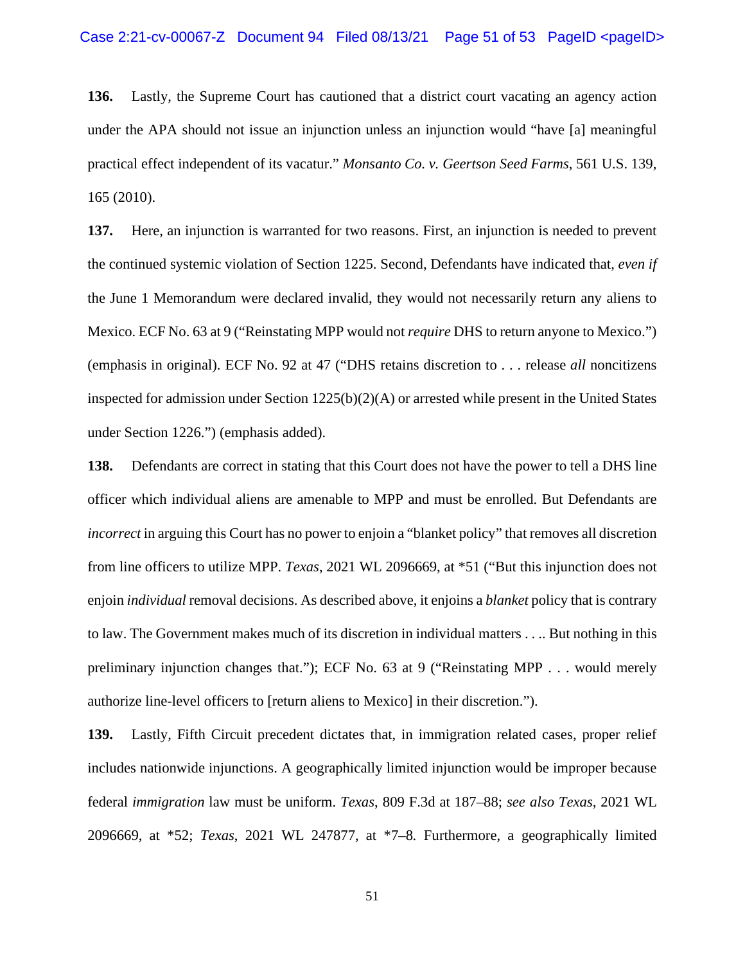**136.** Lastly, the Supreme Court has cautioned that a district court vacating an agency action under the APA should not issue an injunction unless an injunction would "have [a] meaningful practical effect independent of its vacatur." *Monsanto Co. v. Geertson Seed Farms*, 561 U.S. 139, 165 (2010).

**137.** Here, an injunction is warranted for two reasons. First, an injunction is needed to prevent the continued systemic violation of Section 1225. Second, Defendants have indicated that, *even if* the June 1 Memorandum were declared invalid, they would not necessarily return any aliens to Mexico. ECF No. 63 at 9 ("Reinstating MPP would not *require* DHS to return anyone to Mexico.") (emphasis in original). ECF No. 92 at 47 ("DHS retains discretion to . . . release *all* noncitizens inspected for admission under Section 1225(b)(2)(A) or arrested while present in the United States under Section 1226.") (emphasis added).

**138.** Defendants are correct in stating that this Court does not have the power to tell a DHS line officer which individual aliens are amenable to MPP and must be enrolled. But Defendants are *incorrect* in arguing this Court has no power to enjoin a "blanket policy" that removes all discretion from line officers to utilize MPP. *Texas*, 2021 WL 2096669, at \*51 ("But this injunction does not enjoin *individual* removal decisions. As described above, it enjoins a *blanket* policy that is contrary to law. The Government makes much of its discretion in individual matters . . .. But nothing in this preliminary injunction changes that."); ECF No. 63 at 9 ("Reinstating MPP . . . would merely authorize line-level officers to [return aliens to Mexico] in their discretion.").

**139.** Lastly, Fifth Circuit precedent dictates that, in immigration related cases, proper relief includes nationwide injunctions. A geographically limited injunction would be improper because federal *immigration* law must be uniform. *Texas*, 809 F.3d at 187–88; *see also Texas*, 2021 WL 2096669, at \*52; *Texas*, 2021 WL 247877, at \*7–8*.* Furthermore, a geographically limited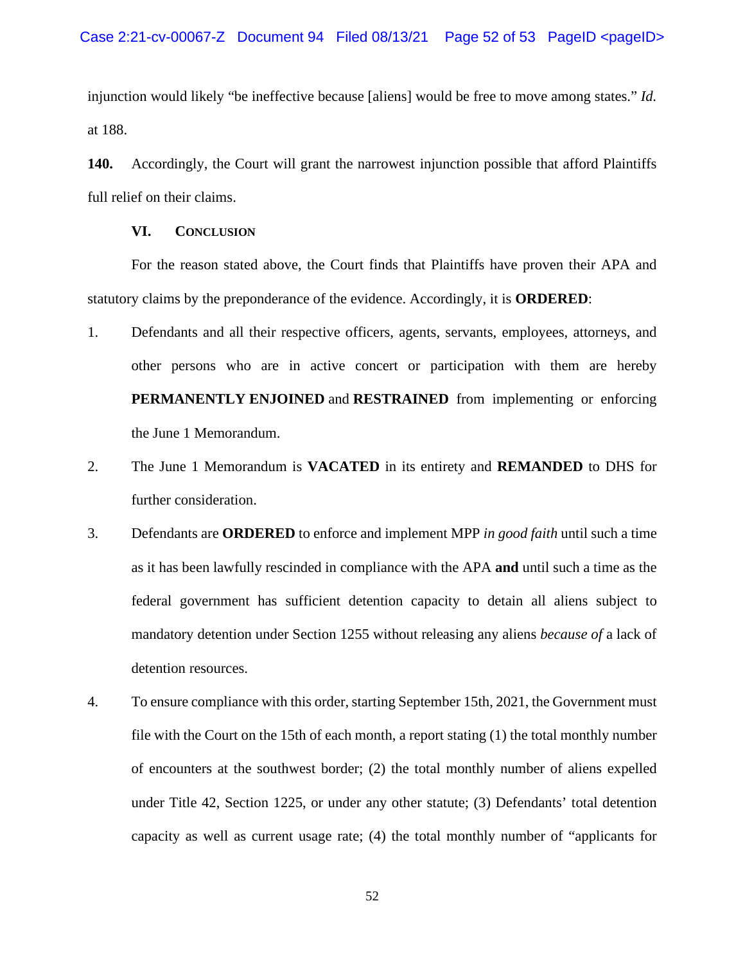injunction would likely "be ineffective because [aliens] would be free to move among states." *Id.*  at 188.

**140.** Accordingly, the Court will grant the narrowest injunction possible that afford Plaintiffs full relief on their claims.

## **VI. CONCLUSION**

For the reason stated above, the Court finds that Plaintiffs have proven their APA and statutory claims by the preponderance of the evidence. Accordingly, it is **ORDERED**:

- 1. Defendants and all their respective officers, agents, servants, employees, attorneys, and other persons who are in active concert or participation with them are hereby **PERMANENTLY ENJOINED** and **RESTRAINED** from implementing or enforcing the June 1 Memorandum.
- 2. The June 1 Memorandum is **VACATED** in its entirety and **REMANDED** to DHS for further consideration.
- 3. Defendants are **ORDERED** to enforce and implement MPP *in good faith* until such a time as it has been lawfully rescinded in compliance with the APA **and** until such a time as the federal government has sufficient detention capacity to detain all aliens subject to mandatory detention under Section 1255 without releasing any aliens *because of* a lack of detention resources.
- 4. To ensure compliance with this order, starting September 15th, 2021, the Government must file with the Court on the 15th of each month, a report stating (1) the total monthly number of encounters at the southwest border; (2) the total monthly number of aliens expelled under Title 42, Section 1225, or under any other statute; (3) Defendants' total detention capacity as well as current usage rate; (4) the total monthly number of "applicants for